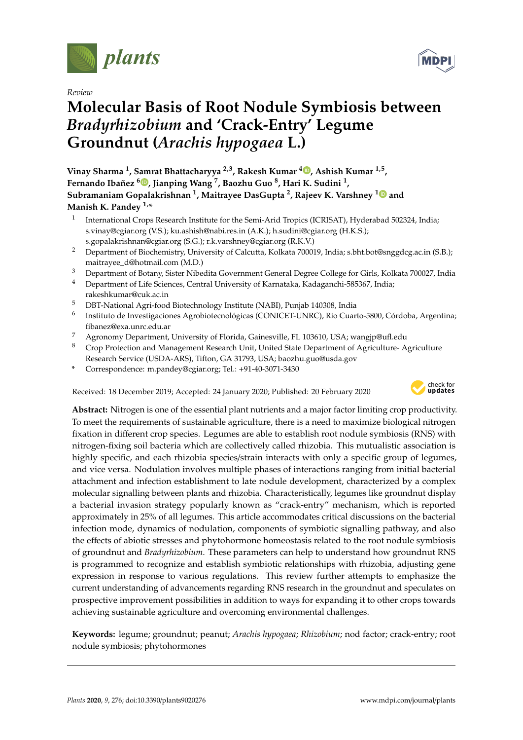

*Review*

# **Molecular Basis of Root Nodule Symbiosis between** *Bradyrhizobium* **and 'Crack-Entry' Legume Groundnut (***Arachis hypogaea* **L.)**

**Vinay Sharma <sup>1</sup> , Samrat Bhattacharyya 2,3, Rakesh Kumar <sup>4</sup> , Ashish Kumar 1,5 , Fernando Ibañez <sup>6</sup> , Jianping Wang <sup>7</sup> , Baozhu Guo <sup>8</sup> , Hari K. Sudini <sup>1</sup> , Subramaniam Gopalakrishnan <sup>1</sup> , Maitrayee DasGupta <sup>2</sup> , Rajeev K. Varshney <sup>1</sup> and Manish K. Pandey 1,\***

- 1 International Crops Research Institute for the Semi-Arid Tropics (ICRISAT), Hyderabad 502324, India; s.vinay@cgiar.org (V.S.); ku.ashish@nabi.res.in (A.K.); h.sudini@cgiar.org (H.K.S.); s.gopalakrishnan@cgiar.org (S.G.); r.k.varshney@cgiar.org (R.K.V.)
- <sup>2</sup> Department of Biochemistry, University of Calcutta, Kolkata 700019, India; s.bht.bot@snggdcg.ac.in (S.B.); maitrayee\_d@hotmail.com (M.D.)
- <sup>3</sup> Department of Botany, Sister Nibedita Government General Degree College for Girls, Kolkata 700027, India
- <sup>4</sup> Department of Life Sciences, Central University of Karnataka, Kadaganchi-585367, India; rakeshkumar@cuk.ac.in
- <sup>5</sup> DBT-National Agri-food Biotechnology Institute (NABI), Punjab 140308, India
- <sup>6</sup> Instituto de Investigaciones Agrobiotecnológicas (CONICET-UNRC), Río Cuarto-5800, Córdoba, Argentina; fibanez@exa.unrc.edu.ar
- <sup>7</sup> Agronomy Department, University of Florida, Gainesville, FL 103610, USA; wangjp@ufl.edu
- <sup>8</sup> Crop Protection and Management Research Unit, United State Department of Agriculture- Agriculture Research Service (USDA-ARS), Tifton, GA 31793, USA; baozhu.guo@usda.gov
- **\*** Correspondence: m.pandey@cgiar.org; Tel.: +91-40-3071-3430

Received: 18 December 2019; Accepted: 24 January 2020; Published: 20 February 2020



**Abstract:** Nitrogen is one of the essential plant nutrients and a major factor limiting crop productivity. To meet the requirements of sustainable agriculture, there is a need to maximize biological nitrogen fixation in different crop species. Legumes are able to establish root nodule symbiosis (RNS) with nitrogen-fixing soil bacteria which are collectively called rhizobia. This mutualistic association is highly specific, and each rhizobia species/strain interacts with only a specific group of legumes, and vice versa. Nodulation involves multiple phases of interactions ranging from initial bacterial attachment and infection establishment to late nodule development, characterized by a complex molecular signalling between plants and rhizobia. Characteristically, legumes like groundnut display a bacterial invasion strategy popularly known as "crack-entry" mechanism, which is reported approximately in 25% of all legumes. This article accommodates critical discussions on the bacterial infection mode, dynamics of nodulation, components of symbiotic signalling pathway, and also the effects of abiotic stresses and phytohormone homeostasis related to the root nodule symbiosis of groundnut and *Bradyrhizobium*. These parameters can help to understand how groundnut RNS is programmed to recognize and establish symbiotic relationships with rhizobia, adjusting gene expression in response to various regulations. This review further attempts to emphasize the current understanding of advancements regarding RNS research in the groundnut and speculates on prospective improvement possibilities in addition to ways for expanding it to other crops towards achieving sustainable agriculture and overcoming environmental challenges.

**Keywords:** legume; groundnut; peanut; *Arachis hypogaea*; *Rhizobium*; nod factor; crack-entry; root nodule symbiosis; phytohormones

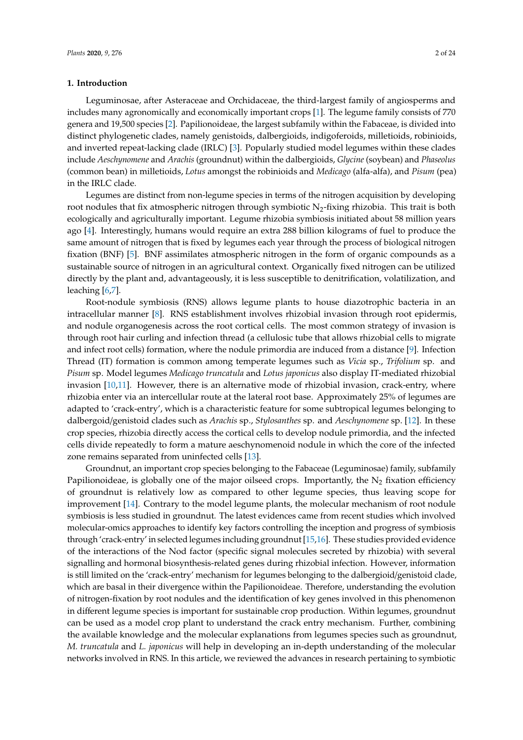# **1. Introduction**

Leguminosae, after Asteraceae and Orchidaceae, the third-largest family of angiosperms and includes many agronomically and economically important crops [1]. The legume family consists of 770 genera and 19,500 species [2]. Papilionoideae, the largest subfamily within the Fabaceae, is divided into distinct phylogenetic clades, namely genistoids, dalbergioids, indigoferoids, milletioids, robinioids, and inverted repeat-lacking clade (IRLC) [3]. Popularly studied model legumes within these clades include *Aeschynomene* and *Arachis* (groundnut) within the dalbergioids, *Glycine* (soybean) and *Phaseolus* (common bean) in milletioids, *Lotus* amongst the robinioids and *Medicago* (alfa-alfa), and *Pisum* (pea) in the IRLC clade.

Legumes are distinct from non-legume species in terms of the nitrogen acquisition by developing root nodules that fix atmospheric nitrogen through symbiotic  $N_2$ -fixing rhizobia. This trait is both ecologically and agriculturally important. Legume rhizobia symbiosis initiated about 58 million years ago [4]. Interestingly, humans would require an extra 288 billion kilograms of fuel to produce the same amount of nitrogen that is fixed by legumes each year through the process of biological nitrogen fixation (BNF) [5]. BNF assimilates atmospheric nitrogen in the form of organic compounds as a sustainable source of nitrogen in an agricultural context. Organically fixed nitrogen can be utilized directly by the plant and, advantageously, it is less susceptible to denitrification, volatilization, and leaching [6,7].

Root-nodule symbiosis (RNS) allows legume plants to house diazotrophic bacteria in an intracellular manner [8]. RNS establishment involves rhizobial invasion through root epidermis, and nodule organogenesis across the root cortical cells. The most common strategy of invasion is through root hair curling and infection thread (a cellulosic tube that allows rhizobial cells to migrate and infect root cells) formation, where the nodule primordia are induced from a distance [9]. Infection Thread (IT) formation is common among temperate legumes such as *Vicia* sp., *Trifolium* sp. and *Pisum* sp. Model legumes *Medicago truncatula* and *Lotus japonicus* also display IT-mediated rhizobial invasion [10,11]. However, there is an alternative mode of rhizobial invasion, crack-entry, where rhizobia enter via an intercellular route at the lateral root base. Approximately 25% of legumes are adapted to 'crack-entry', which is a characteristic feature for some subtropical legumes belonging to dalbergoid/genistoid clades such as *Arachis* sp., *Stylosanthes* sp. and *Aeschynomene* sp. [12]. In these crop species, rhizobia directly access the cortical cells to develop nodule primordia, and the infected cells divide repeatedly to form a mature aeschynomenoid nodule in which the core of the infected zone remains separated from uninfected cells [13].

Groundnut, an important crop species belonging to the Fabaceae (Leguminosae) family, subfamily Papilionoideae, is globally one of the major oilseed crops. Importantly, the  $N<sub>2</sub>$  fixation efficiency of groundnut is relatively low as compared to other legume species, thus leaving scope for improvement [14]. Contrary to the model legume plants, the molecular mechanism of root nodule symbiosis is less studied in groundnut. The latest evidences came from recent studies which involved molecular-omics approaches to identify key factors controlling the inception and progress of symbiosis through 'crack-entry' in selected legumes including groundnut [15,16]. These studies provided evidence of the interactions of the Nod factor (specific signal molecules secreted by rhizobia) with several signalling and hormonal biosynthesis-related genes during rhizobial infection. However, information is still limited on the 'crack-entry' mechanism for legumes belonging to the dalbergioid/genistoid clade, which are basal in their divergence within the Papilionoideae. Therefore, understanding the evolution of nitrogen-fixation by root nodules and the identification of key genes involved in this phenomenon in different legume species is important for sustainable crop production. Within legumes, groundnut can be used as a model crop plant to understand the crack entry mechanism. Further, combining the available knowledge and the molecular explanations from legumes species such as groundnut, *M. truncatula* and *L. japonicus* will help in developing an in-depth understanding of the molecular networks involved in RNS. In this article, we reviewed the advances in research pertaining to symbiotic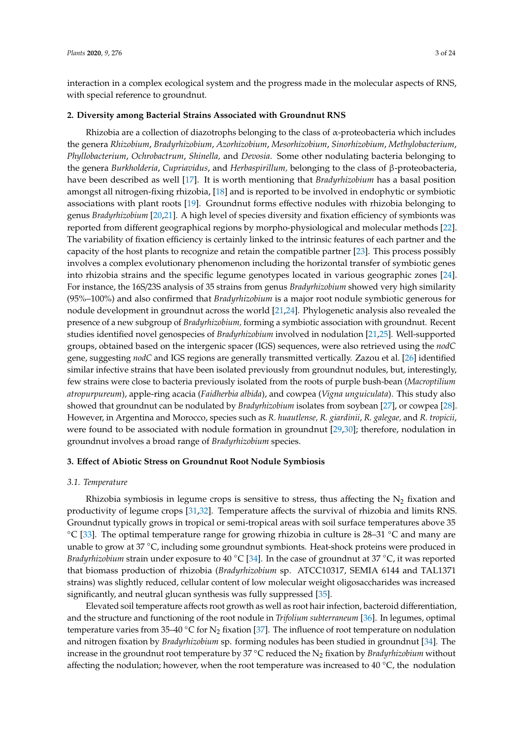interaction in a complex ecological system and the progress made in the molecular aspects of RNS, with special reference to groundnut.

#### **2. Diversity among Bacterial Strains Associated with Groundnut RNS**

Rhizobia are a collection of diazotrophs belonging to the class of α-proteobacteria which includes the genera *Rhizobium*, *Bradyrhizobium*, *Azorhizobium*, *Mesorhizobium*, *Sinorhizobium*, *Methylobacterium*, *Phyllobacterium*, *Ochrobactrum*, *Shinella,* and *Devosia*. Some other nodulating bacteria belonging to the genera *Burkholderia*, *Cupriavidus*, and *Herbaspirillum,* belonging to the class of β-proteobacteria, have been described as well [17]. It is worth mentioning that *Bradyrhizobium* has a basal position amongst all nitrogen-fixing rhizobia, [18] and is reported to be involved in endophytic or symbiotic associations with plant roots [19]. Groundnut forms effective nodules with rhizobia belonging to genus *Bradyrhizobium* [20,21]. A high level of species diversity and fixation efficiency of symbionts was reported from different geographical regions by morpho-physiological and molecular methods [22]. The variability of fixation efficiency is certainly linked to the intrinsic features of each partner and the capacity of the host plants to recognize and retain the compatible partner [23]. This process possibly involves a complex evolutionary phenomenon including the horizontal transfer of symbiotic genes into rhizobia strains and the specific legume genotypes located in various geographic zones [24]. For instance, the 16S/23S analysis of 35 strains from genus *Bradyrhizobium* showed very high similarity (95%–100%) and also confirmed that *Bradyrhizobium* is a major root nodule symbiotic generous for nodule development in groundnut across the world [21,24]. Phylogenetic analysis also revealed the presence of a new subgroup of *Bradyrhizobium,* forming a symbiotic association with groundnut. Recent studies identified novel genospecies of *Bradyrhizobium* involved in nodulation [21,25]. Well-supported groups, obtained based on the intergenic spacer (IGS) sequences, were also retrieved using the *nodC* gene, suggesting *nodC* and IGS regions are generally transmitted vertically. Zazou et al. [26] identified similar infective strains that have been isolated previously from groundnut nodules, but, interestingly, few strains were close to bacteria previously isolated from the roots of purple bush-bean (*Macroptilium atropurpureum*), apple-ring acacia (*Faidherbia albida*), and cowpea (*Vigna unguiculata*). This study also showed that groundnut can be nodulated by *Bradyrhizobium* isolates from soybean [27], or cowpea [28]. However, in Argentina and Morocco, species such as *R. huautlense, R. giardinii*, *R. galegae,* and *R. tropicii*, were found to be associated with nodule formation in groundnut [29,30]; therefore, nodulation in groundnut involves a broad range of *Bradyrhizobium* species.

# **3. E**ff**ect of Abiotic Stress on Groundnut Root Nodule Symbiosis**

#### *3.1. Temperature*

Rhizobia symbiosis in legume crops is sensitive to stress, thus affecting the  $N_2$  fixation and productivity of legume crops [31,32]. Temperature affects the survival of rhizobia and limits RNS. Groundnut typically grows in tropical or semi-tropical areas with soil surface temperatures above 35  $°C$  [33]. The optimal temperature range for growing rhizobia in culture is 28–31  $°C$  and many are unable to grow at 37 °C, including some groundnut symbionts. Heat-shock proteins were produced in *Bradyrhizobium* strain under exposure to 40 °C [34]. In the case of groundnut at 37 °C, it was reported that biomass production of rhizobia (*Bradyrhizobium* sp. ATCC10317, SEMIA 6144 and TAL1371 strains) was slightly reduced, cellular content of low molecular weight oligosaccharides was increased significantly, and neutral glucan synthesis was fully suppressed [35].

Elevated soil temperature affects root growth as well as root hair infection, bacteroid differentiation, and the structure and functioning of the root nodule in *Trifolium subterraneum* [36]. In legumes, optimal temperature varies from 35–40 °C for  $N_2$  fixation [37]. The influence of root temperature on nodulation and nitrogen fixation by *Bradyrhizobium* sp. forming nodules has been studied in groundnut [34]. The increase in the groundnut root temperature by 37 ◦C reduced the N<sup>2</sup> fixation by *Bradyrhizobium* without affecting the nodulation; however, when the root temperature was increased to 40  $\degree$ C, the nodulation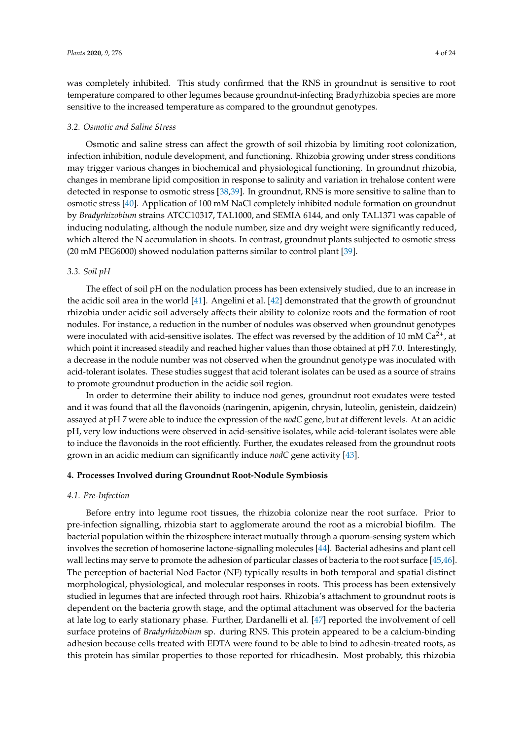was completely inhibited. This study confirmed that the RNS in groundnut is sensitive to root temperature compared to other legumes because groundnut-infecting Bradyrhizobia species are more sensitive to the increased temperature as compared to the groundnut genotypes.

#### *3.2. Osmotic and Saline Stress*

Osmotic and saline stress can affect the growth of soil rhizobia by limiting root colonization, infection inhibition, nodule development, and functioning. Rhizobia growing under stress conditions may trigger various changes in biochemical and physiological functioning. In groundnut rhizobia, changes in membrane lipid composition in response to salinity and variation in trehalose content were detected in response to osmotic stress [38,39]. In groundnut, RNS is more sensitive to saline than to osmotic stress [40]. Application of 100 mM NaCl completely inhibited nodule formation on groundnut by *Bradyrhizobium* strains ATCC10317, TAL1000, and SEMIA 6144, and only TAL1371 was capable of inducing nodulating, although the nodule number, size and dry weight were significantly reduced, which altered the N accumulation in shoots. In contrast, groundnut plants subjected to osmotic stress (20 mM PEG6000) showed nodulation patterns similar to control plant [39].

# *3.3. Soil pH*

The effect of soil pH on the nodulation process has been extensively studied, due to an increase in the acidic soil area in the world [41]. Angelini et al. [42] demonstrated that the growth of groundnut rhizobia under acidic soil adversely affects their ability to colonize roots and the formation of root nodules. For instance, a reduction in the number of nodules was observed when groundnut genotypes were inoculated with acid-sensitive isolates. The effect was reversed by the addition of 10 mM  $Ca^{2+}$ , at which point it increased steadily and reached higher values than those obtained at pH 7.0. Interestingly, a decrease in the nodule number was not observed when the groundnut genotype was inoculated with acid-tolerant isolates. These studies suggest that acid tolerant isolates can be used as a source of strains to promote groundnut production in the acidic soil region.

In order to determine their ability to induce nod genes, groundnut root exudates were tested and it was found that all the flavonoids (naringenin, apigenin, chrysin, luteolin, genistein, daidzein) assayed at pH 7 were able to induce the expression of the *nodC* gene, but at different levels. At an acidic pH, very low inductions were observed in acid-sensitive isolates, while acid-tolerant isolates were able to induce the flavonoids in the root efficiently. Further, the exudates released from the groundnut roots grown in an acidic medium can significantly induce *nodC* gene activity [43].

## **4. Processes Involved during Groundnut Root-Nodule Symbiosis**

## *4.1. Pre-Infection*

Before entry into legume root tissues, the rhizobia colonize near the root surface. Prior to pre-infection signalling, rhizobia start to agglomerate around the root as a microbial biofilm. The bacterial population within the rhizosphere interact mutually through a quorum-sensing system which involves the secretion of homoserine lactone-signalling molecules [44]. Bacterial adhesins and plant cell wall lectins may serve to promote the adhesion of particular classes of bacteria to the root surface [45,46]. The perception of bacterial Nod Factor (NF) typically results in both temporal and spatial distinct morphological, physiological, and molecular responses in roots. This process has been extensively studied in legumes that are infected through root hairs. Rhizobia's attachment to groundnut roots is dependent on the bacteria growth stage, and the optimal attachment was observed for the bacteria at late log to early stationary phase. Further, Dardanelli et al. [47] reported the involvement of cell surface proteins of *Bradyrhizobium* sp. during RNS. This protein appeared to be a calcium-binding adhesion because cells treated with EDTA were found to be able to bind to adhesin-treated roots, as this protein has similar properties to those reported for rhicadhesin. Most probably, this rhizobia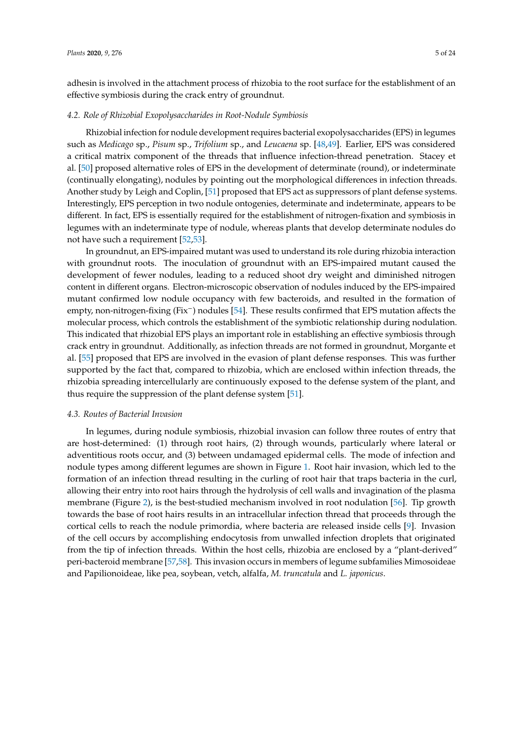adhesin is involved in the attachment process of rhizobia to the root surface for the establishment of an effective symbiosis during the crack entry of groundnut.

#### *4.2. Role of Rhizobial Exopolysaccharides in Root-Nodule Symbiosis*

Rhizobial infection for nodule development requires bacterial exopolysaccharides (EPS) in legumes such as *Medicago* sp., *Pisum* sp., *Trifolium* sp., and *Leucaena* sp. [48,49]. Earlier, EPS was considered a critical matrix component of the threads that influence infection-thread penetration. Stacey et al. [50] proposed alternative roles of EPS in the development of determinate (round), or indeterminate (continually elongating), nodules by pointing out the morphological differences in infection threads. Another study by Leigh and Coplin, [51] proposed that EPS act as suppressors of plant defense systems. Interestingly, EPS perception in two nodule ontogenies, determinate and indeterminate, appears to be different. In fact, EPS is essentially required for the establishment of nitrogen-fixation and symbiosis in legumes with an indeterminate type of nodule, whereas plants that develop determinate nodules do not have such a requirement [52,53].

In groundnut, an EPS-impaired mutant was used to understand its role during rhizobia interaction with groundnut roots. The inoculation of groundnut with an EPS-impaired mutant caused the development of fewer nodules, leading to a reduced shoot dry weight and diminished nitrogen content in different organs. Electron-microscopic observation of nodules induced by the EPS-impaired mutant confirmed low nodule occupancy with few bacteroids, and resulted in the formation of empty, non-nitrogen-fixing (Fix−) nodules [54]. These results confirmed that EPS mutation affects the molecular process, which controls the establishment of the symbiotic relationship during nodulation. This indicated that rhizobial EPS plays an important role in establishing an effective symbiosis through crack entry in groundnut. Additionally, as infection threads are not formed in groundnut, Morgante et al. [55] proposed that EPS are involved in the evasion of plant defense responses. This was further supported by the fact that, compared to rhizobia, which are enclosed within infection threads, the rhizobia spreading intercellularly are continuously exposed to the defense system of the plant, and thus require the suppression of the plant defense system [51].

#### *4.3. Routes of Bacterial Invasion*

In legumes, during nodule symbiosis, rhizobial invasion can follow three routes of entry that are host-determined: (1) through root hairs, (2) through wounds, particularly where lateral or adventitious roots occur, and (3) between undamaged epidermal cells. The mode of infection and nodule types among different legumes are shown in Figure 1. Root hair invasion, which led to the formation of an infection thread resulting in the curling of root hair that traps bacteria in the curl, allowing their entry into root hairs through the hydrolysis of cell walls and invagination of the plasma membrane (Figure 2), is the best-studied mechanism involved in root nodulation [56]. Tip growth towards the base of root hairs results in an intracellular infection thread that proceeds through the cortical cells to reach the nodule primordia, where bacteria are released inside cells [9]. Invasion of the cell occurs by accomplishing endocytosis from unwalled infection droplets that originated from the tip of infection threads. Within the host cells, rhizobia are enclosed by a "plant-derived" peri-bacteroid membrane [57,58]. This invasion occurs in members of legume subfamilies Mimosoideae and Papilionoideae, like pea, soybean, vetch, alfalfa, *M. truncatula* and *L. japonicus*.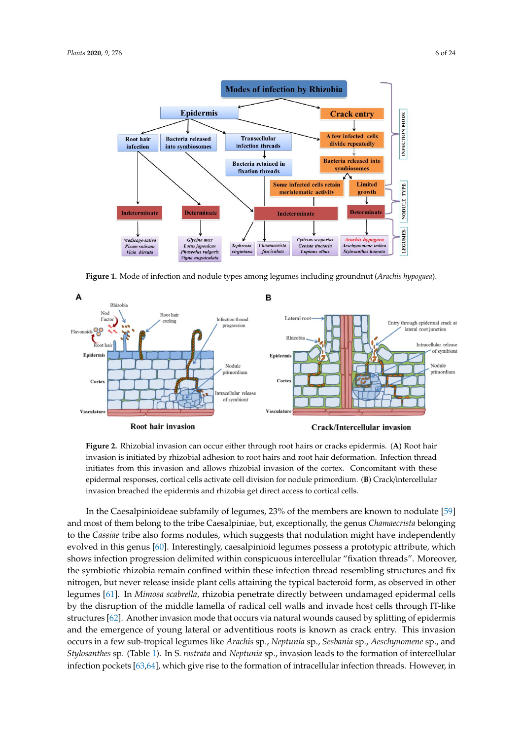

**Figure 1.** Mode of infection and nodule types among legumes including groundnut (*Arachis hypogaea*).



**Figure 2.** Rhizobial invasion can occur either through root hairs or cracks epidermis. (**A**) Root hair invasion is initiated by rhizobial adhesion to root hairs and root hair deformation. Infection thread initiates from this invasion and allows rhizobial invasion of the cortex. Concomitant with these epidermal responses, cortical cells activate cell division for nodule primordium. (**B**) Crack/intercellular invasion breached the epidermis and rhizobia get direct access to cortical cells.

the symbiotic rhizobia remain confined within these infection thread resembling structures and fix nitrogen, but never release inside plant cells attaining the typical bacteroid form, as observed in other shows infection progression delimited within conspicuous intercellular "fixation threads". Moreover, In the Caesalpinioideae subfamily of legumes, 23% of the members are known to nodulate [59] and most of them belong to the tribe Caesalpiniae, but, exceptionally, the genus *Chamaecrista* belonging to the *Cassiae* tribe also forms nodules, which suggests that nodulation might have independently evolved in this genus [60]. Interestingly, caesalpinioid legumes possess a prototypic attribute, which legumes [61]. In *Mimosa scabrella,* rhizobia penetrate directly between undamaged epidermal cells by the disruption of the middle lamella of radical cell walls and invade host cells through IT-like structures [62]. Another invasion mode that occurs via natural wounds caused by splitting of epidermis and the emergence of young lateral or adventitious roots is known as crack entry. This invasion occurs in a few sub-tropical legumes like *Arachis* sp., *Neptunia* sp., *Sesbania* sp., *Aeschynomene* sp., and *Stylosanthes* sp. (Table 1). In S. *rostrata* and *Neptunia* sp., invasion leads to the formation of intercellular infection pockets [63,64], which give rise to the formation of intracellular infection threads. However, in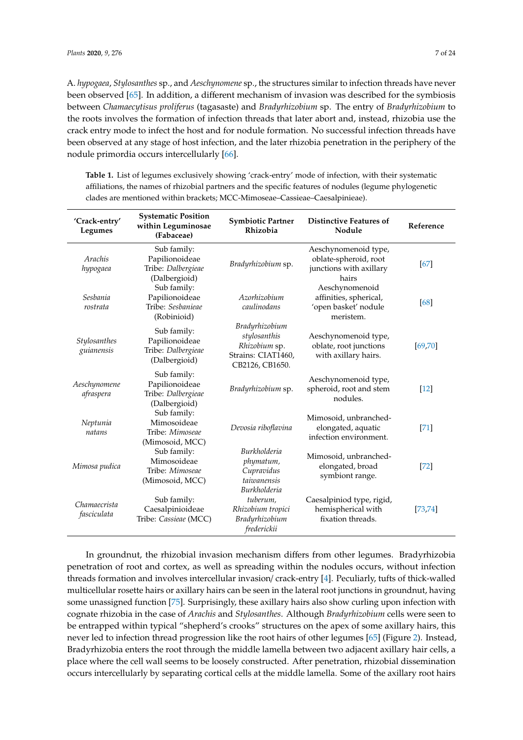A. *hypogaea*, *Stylosanthes* sp., and *Aeschynomene* sp., the structures similar to infection threads have never been observed [65]. In addition, a different mechanism of invasion was described for the symbiosis between *Chamaecytisus proliferus* (tagasaste) and *Bradyrhizobium* sp. The entry of *Bradyrhizobium* to the roots involves the formation of infection threads that later abort and, instead, rhizobia use the crack entry mode to infect the host and for nodule formation. No successful infection threads have been observed at any stage of host infection, and the later rhizobia penetration in the periphery of the nodule primordia occurs intercellularly [66].

**Table 1.** List of legumes exclusively showing 'crack-entry' mode of infection, with their systematic affiliations, the names of rhizobial partners and the specific features of nodules (legume phylogenetic clades are mentioned within brackets; MCC-Mimoseae–Cassieae–Caesalpinieae).

| 'Crack-entry'<br>Legumes    | <b>Systematic Position</b><br>within Leguminosae<br>(Fabaceae)       | <b>Symbiotic Partner</b><br>Rhizobia                                                     | <b>Distinctive Features of</b><br>Nodule                                          | Reference          |
|-----------------------------|----------------------------------------------------------------------|------------------------------------------------------------------------------------------|-----------------------------------------------------------------------------------|--------------------|
| Arachis<br>hypogaea         | Sub family:<br>Papilionoideae<br>Tribe: Dalbergieae<br>(Dalbergioid) | Bradyrhizobium sp.                                                                       | Aeschynomenoid type,<br>oblate-spheroid, root<br>junctions with axillary<br>hairs | 67                 |
| Sesbania<br>rostrata        | Sub family:<br>Papilionoideae<br>Tribe: Sesbanieae<br>(Robinioid)    | Azorhizobium<br>caulinodans                                                              | Aeschynomenoid<br>affinities, spherical,<br>'open basket' nodule<br>meristem.     | [68]               |
| Stylosanthes<br>guianensis  | Sub family:<br>Papilionoideae<br>Tribe: Dalbergieae<br>(Dalbergioid) | Bradyrhizobium<br>stylosanthis<br>Rhizobium sp.<br>Strains: CIAT1460,<br>CB2126, CB1650. | Aeschynomenoid type,<br>oblate, root junctions<br>with axillary hairs.            | [69, 70]           |
| Aeschynomene<br>afraspera   | Sub family:<br>Papilionoideae<br>Tribe: Dalbergieae<br>(Dalbergioid) | Bradyrhizobium sp.                                                                       | Aeschynomenoid type,<br>spheroid, root and stem<br>nodules.                       | $\lceil 12 \rceil$ |
| Neptunia<br>natans          | Sub family:<br>Mimosoideae<br>Tribe: Mimoseae<br>(Mimosoid, MCC)     | Devosia riboflavina                                                                      | Mimosoid, unbranched-<br>elongated, aquatic<br>infection environment.             | [71]               |
| Mimosa pudica               | Sub family:<br>Mimosoideae<br>Tribe: Mimoseae<br>(Mimosoid, MCC)     | <b>Burkholderia</b><br>phymatum,<br>Cupravidus<br>taiwanensis<br><b>Burkholderia</b>     | Mimosoid, unbranched-<br>elongated, broad<br>symbiont range.                      | $[72]$             |
| Chamaecrista<br>fasciculata | Sub family:<br>Caesalpinioideae<br>Tribe: Cassieae (MCC)             | tuberum,<br>Rhizobium tropici<br>Bradyrhizobium<br>frederickii                           | Caesalpiniod type, rigid,<br>hemispherical with<br>fixation threads.              | [73, 74]           |

In groundnut, the rhizobial invasion mechanism differs from other legumes. Bradyrhizobia penetration of root and cortex, as well as spreading within the nodules occurs, without infection threads formation and involves intercellular invasion/ crack-entry [4]. Peculiarly, tufts of thick-walled multicellular rosette hairs or axillary hairs can be seen in the lateral root junctions in groundnut, having some unassigned function [75]. Surprisingly, these axillary hairs also show curling upon infection with cognate rhizobia in the case of *Arachis* and *Stylosanthes*. Although *Bradyrhizobium* cells were seen to be entrapped within typical "shepherd's crooks" structures on the apex of some axillary hairs, this never led to infection thread progression like the root hairs of other legumes [65] (Figure 2). Instead, Bradyrhizobia enters the root through the middle lamella between two adjacent axillary hair cells, a place where the cell wall seems to be loosely constructed. After penetration, rhizobial dissemination occurs intercellularly by separating cortical cells at the middle lamella. Some of the axillary root hairs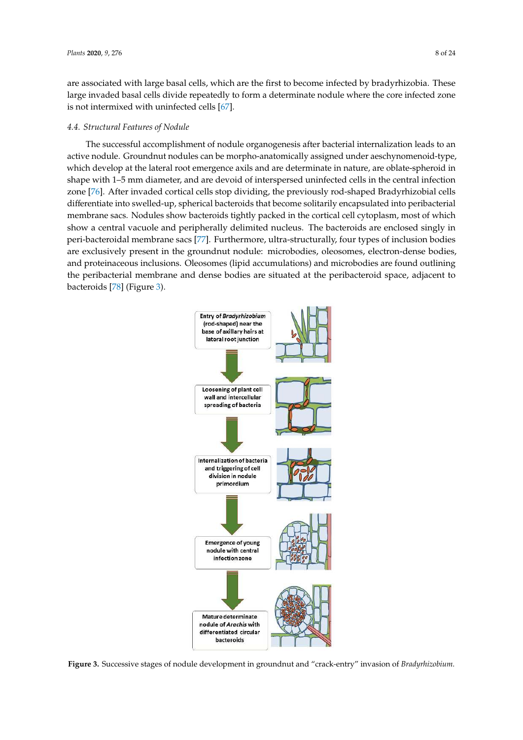are associated with large basal cells, which are the first to become infected by bradyrhizobia. These large invaded basal cells divide repeatedly to form a determinate nodule where the core infected zone is not intermixed with uninfected cells [67].

## *4.4. Structural Features of Nodule*

The successful accomplishment of nodule organogenesis after bacterial internalization leads to an active nodule. Groundnut nodules can be morpho-anatomically assigned under aeschynomenoid-type, which develop at the lateral root emergence axils and are determinate in nature, are oblate-spheroid in shape with 1–5 mm diameter, and are devoid of interspersed uninfected cells in the central infection zone [76]. After invaded cortical cells stop dividing, the previously rod-shaped Bradyrhizobial cells – differentiate into swelled-up, spherical bacteroids that become solitarily encapsulated into peribacterial membrane sacs. Nodules show bacteroids tightly packed in the cortical cell cytoplasm, most of which show a central vacuole and peripherally delimited nucleus. The bacteroids are enclosed singly in peri-bacteroidal membrane sacs [77]. Furthermore, ultra-structurally, four types of inclusion bodies are exclusively present in the groundnut nodule: microbodies, oleosomes, electron-dense bodies, and proteinaceous inclusions. Oleosomes (lipid accumulations) and microbodies are found outlining the peribacterial membrane and dense bodies are situated at the peribacteroid space, adjacent to bacteroids [78] (Figure 3).



**Figure 3.** Successive stages of nodule development in groundnut and "crack-entry" invasion of *Bradyrhizobium*.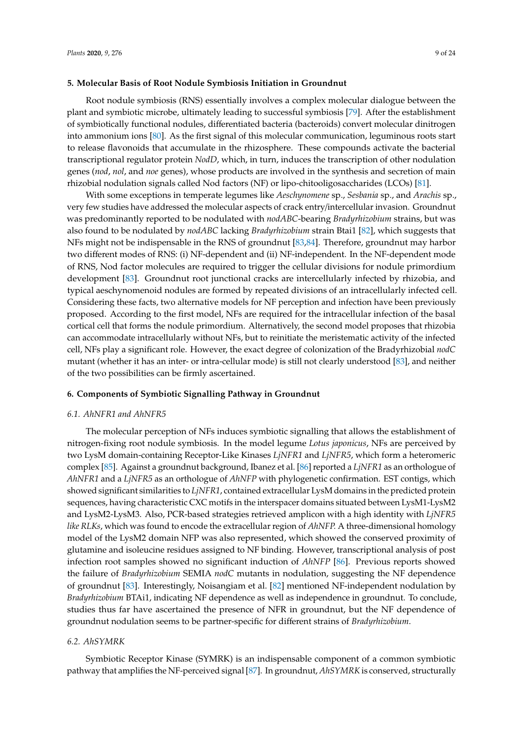## **5. Molecular Basis of Root Nodule Symbiosis Initiation in Groundnut**

Root nodule symbiosis (RNS) essentially involves a complex molecular dialogue between the plant and symbiotic microbe, ultimately leading to successful symbiosis [79]. After the establishment of symbiotically functional nodules, differentiated bacteria (bacteroids) convert molecular dinitrogen into ammonium ions [80]. As the first signal of this molecular communication, leguminous roots start to release flavonoids that accumulate in the rhizosphere. These compounds activate the bacterial transcriptional regulator protein *NodD*, which, in turn, induces the transcription of other nodulation genes (*nod*, *nol*, and *noe* genes), whose products are involved in the synthesis and secretion of main rhizobial nodulation signals called Nod factors (NF) or lipo-chitooligosaccharides (LCOs) [81].

With some exceptions in temperate legumes like *Aeschynomene* sp., *Sesbania* sp., and *Arachis* sp., very few studies have addressed the molecular aspects of crack entry/intercellular invasion. Groundnut was predominantly reported to be nodulated with *nodABC*-bearing *Bradyrhizobium* strains, but was also found to be nodulated by *nodABC* lacking *Bradyrhizobium* strain Btai1 [82], which suggests that NFs might not be indispensable in the RNS of groundnut [83,84]. Therefore, groundnut may harbor two different modes of RNS: (i) NF-dependent and (ii) NF-independent. In the NF-dependent mode of RNS, Nod factor molecules are required to trigger the cellular divisions for nodule primordium development [83]. Groundnut root junctional cracks are intercellularly infected by rhizobia, and typical aeschynomenoid nodules are formed by repeated divisions of an intracellularly infected cell. Considering these facts, two alternative models for NF perception and infection have been previously proposed. According to the first model, NFs are required for the intracellular infection of the basal cortical cell that forms the nodule primordium. Alternatively, the second model proposes that rhizobia can accommodate intracellularly without NFs, but to reinitiate the meristematic activity of the infected cell, NFs play a significant role. However, the exact degree of colonization of the Bradyrhizobial *nodC* mutant (whether it has an inter- or intra-cellular mode) is still not clearly understood [83], and neither of the two possibilities can be firmly ascertained.

#### **6. Components of Symbiotic Signalling Pathway in Groundnut**

#### *6.1. AhNFR1 and AhNFR5*

The molecular perception of NFs induces symbiotic signalling that allows the establishment of nitrogen-fixing root nodule symbiosis. In the model legume *Lotus japonicus*, NFs are perceived by two LysM domain-containing Receptor-Like Kinases *LjNFR1* and *LjNFR5*, which form a heteromeric complex [85]. Against a groundnut background, Ibanez et al. [86] reported a *LjNFR1* as an orthologue of *AhNFR1* and a *LjNFR5* as an orthologue of *AhNFP* with phylogenetic confirmation. EST contigs, which showed significant similarities to *LjNFR1*, contained extracellular LysM domains in the predicted protein sequences, having characteristic CXC motifs in the interspacer domains situated between LysM1-LysM2 and LysM2-LysM3. Also, PCR-based strategies retrieved amplicon with a high identity with *LjNFR5 like RLKs*, which was found to encode the extracellular region of *AhNFP.* A three-dimensional homology model of the LysM2 domain NFP was also represented, which showed the conserved proximity of glutamine and isoleucine residues assigned to NF binding. However, transcriptional analysis of post infection root samples showed no significant induction of *AhNFP* [86]. Previous reports showed the failure of *Bradyrhizobium* SEMIA *nodC* mutants in nodulation, suggesting the NF dependence of groundnut [83]. Interestingly, Noisangiam et al. [82] mentioned NF-independent nodulation by *Bradyrhizobium* BTAi1, indicating NF dependence as well as independence in groundnut. To conclude, studies thus far have ascertained the presence of NFR in groundnut, but the NF dependence of groundnut nodulation seems to be partner-specific for different strains of *Bradyrhizobium*.

# *6.2. AhSYMRK*

Symbiotic Receptor Kinase (SYMRK) is an indispensable component of a common symbiotic pathway that amplifies the NF-perceived signal [87]. In groundnut, *AhSYMRK* is conserved, structurally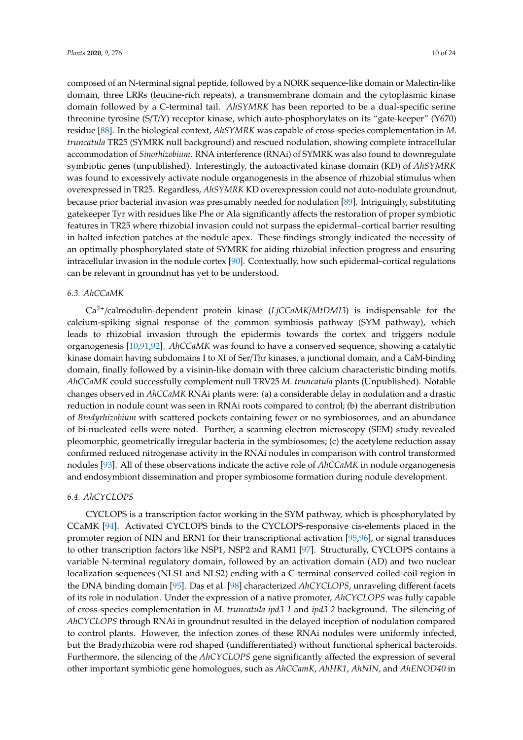composed of an N-terminal signal peptide, followed by a NORK sequence-like domain or Malectin-like domain, three LRRs (leucine-rich repeats), a transmembrane domain and the cytoplasmic kinase domain followed by a C-terminal tail. *AhSYMRK* has been reported to be a dual-specific serine threonine tyrosine (S/T/Y) receptor kinase, which auto-phosphorylates on its "gate-keeper" (Y670) residue [88]. In the biological context, *AhSYMRK* was capable of cross-species complementation in *M. truncatula* TR25 (SYMRK null background) and rescued nodulation, showing complete intracellular accommodation of *Sinorhizobium*. RNA interference (RNAi) of SYMRK was also found to downregulate symbiotic genes (unpublished). Interestingly, the autoactivated kinase domain (KD) of *AhSYMRK* was found to excessively activate nodule organogenesis in the absence of rhizobial stimulus when overexpressed in TR25. Regardless, *AhSYMRK* KD overexpression could not auto-nodulate groundnut, because prior bacterial invasion was presumably needed for nodulation [89]. Intriguingly, substituting gatekeeper Tyr with residues like Phe or Ala significantly affects the restoration of proper symbiotic features in TR25 where rhizobial invasion could not surpass the epidermal–cortical barrier resulting in halted infection patches at the nodule apex. These findings strongly indicated the necessity of an optimally phosphorylated state of SYMRK for aiding rhizobial infection progress and ensuring intracellular invasion in the nodule cortex [90]. Contextually, how such epidermal–cortical regulations can be relevant in groundnut has yet to be understood.

# *6.3. AhCCaMK*

Ca2+/calmodulin-dependent protein kinase (*LjCCaMK*/*MtDMI3*) is indispensable for the calcium-spiking signal response of the common symbiosis pathway (SYM pathway), which leads to rhizobial invasion through the epidermis towards the cortex and triggers nodule organogenesis [10,91,92]. *AhCCaMK* was found to have a conserved sequence, showing a catalytic kinase domain having subdomains I to XI of Ser/Thr kinases, a junctional domain, and a CaM-binding domain, finally followed by a visinin-like domain with three calcium characteristic binding motifs. *AhCCaMK* could successfully complement null TRV25 *M. truncatula* plants (Unpublished). Notable changes observed in *AhCCaMK* RNAi plants were: (a) a considerable delay in nodulation and a drastic reduction in nodule count was seen in RNAi roots compared to control; (b) the aberrant distribution of *Bradyrhizobium* with scattered pockets containing fewer or no symbiosomes, and an abundance of bi-nucleated cells were noted. Further, a scanning electron microscopy (SEM) study revealed pleomorphic, geometrically irregular bacteria in the symbiosomes; (c) the acetylene reduction assay confirmed reduced nitrogenase activity in the RNAi nodules in comparison with control transformed nodules [93]. All of these observations indicate the active role of *AhCCaMK* in nodule organogenesis and endosymbiont dissemination and proper symbiosome formation during nodule development.

#### *6.4. AhCYCLOPS*

CYCLOPS is a transcription factor working in the SYM pathway, which is phosphorylated by CCaMK [94]. Activated CYCLOPS binds to the CYCLOPS-responsive cis-elements placed in the promoter region of NIN and ERN1 for their transcriptional activation [95,96], or signal transduces to other transcription factors like NSP1, NSP2 and RAM1 [97]. Structurally, CYCLOPS contains a variable N-terminal regulatory domain, followed by an activation domain (AD) and two nuclear localization sequences (NLS1 and NLS2) ending with a C-terminal conserved coiled-coil region in the DNA binding domain [95]. Das et al. [98] characterized *AhCYCLOPS*, unraveling different facets of its role in nodulation. Under the expression of a native promoter, *AhCYCLOPS* was fully capable of cross-species complementation in *M. truncatula ipd3-1* and *ipd3-2* background. The silencing of *AhCYCLOPS* through RNAi in groundnut resulted in the delayed inception of nodulation compared to control plants. However, the infection zones of these RNAi nodules were uniformly infected, but the Bradyrhizobia were rod shaped (undifferentiated) without functional spherical bacteroids. Furthermore, the silencing of the *AhCYCLOPS* gene significantly affected the expression of several other important symbiotic gene homologues, such as *AhCCamK*, *AhHK1*, *AhNIN*, and *AhENOD40* in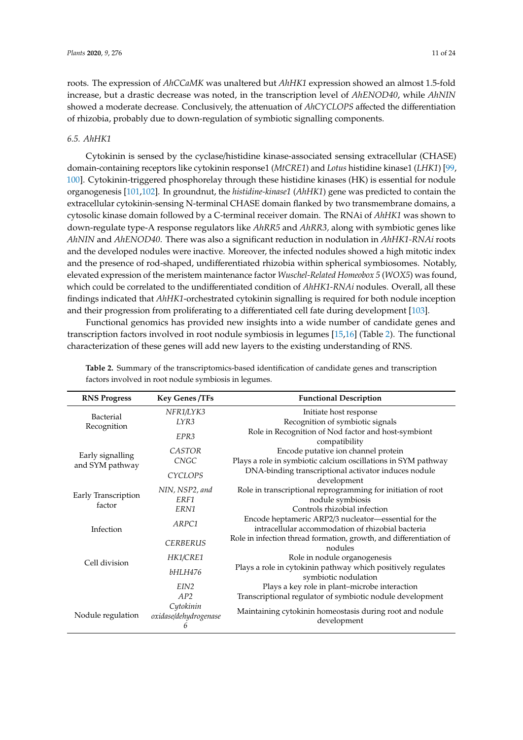roots. The expression of *AhCCaMK* was unaltered but *AhHK1* expression showed an almost 1.5-fold increase, but a drastic decrease was noted, in the transcription level of *AhENOD40*, while *AhNIN* showed a moderate decrease. Conclusively, the attenuation of *AhCYCLOPS* affected the differentiation of rhizobia, probably due to down-regulation of symbiotic signalling components.

# *6.5. AhHK1*

Cytokinin is sensed by the cyclase/histidine kinase-associated sensing extracellular (CHASE) domain-containing receptors like cytokinin response1 (*MtCRE1*) and *Lotus* histidine kinase1 (*LHK1*) [99, 100]. Cytokinin-triggered phosphorelay through these histidine kinases (HK) is essential for nodule organogenesis [101,102]. In groundnut, the *histidine-kinase1* (*AhHK1*) gene was predicted to contain the extracellular cytokinin-sensing N-terminal CHASE domain flanked by two transmembrane domains, a cytosolic kinase domain followed by a C-terminal receiver domain. The RNAi of *AhHK1* was shown to down-regulate type-A response regulators like *AhRR5* and *AhRR3,* along with symbiotic genes like *AhNIN* and *AhENOD40*. There was also a significant reduction in nodulation in *AhHK1-RNAi* roots and the developed nodules were inactive. Moreover, the infected nodules showed a high mitotic index and the presence of rod-shaped, undifferentiated rhizobia within spherical symbiosomes. Notably, elevated expression of the meristem maintenance factor *Wuschel-Related Homeobox 5* (*WOX5*) was found, which could be correlated to the undifferentiated condition of *AhHK1-RNAi* nodules. Overall, all these findings indicated that *AhHK1*-orchestrated cytokinin signalling is required for both nodule inception and their progression from proliferating to a differentiated cell fate during development [103].

Functional genomics has provided new insights into a wide number of candidate genes and transcription factors involved in root nodule symbiosis in legumes [15,16] (Table 2). The functional characterization of these genes will add new layers to the existing understanding of RNS.

| <b>RNS Progress</b>                 | <b>Key Genes /TFs</b>                   | <b>Functional Description</b>                                                                             |  |
|-------------------------------------|-----------------------------------------|-----------------------------------------------------------------------------------------------------------|--|
| Bacterial                           | NFR1/LYK3                               | Initiate host response                                                                                    |  |
| Recognition                         | LYR3                                    | Recognition of symbiotic signals                                                                          |  |
|                                     | EPR <sub>3</sub>                        | Role in Recognition of Nod factor and host-symbiont<br>compatibility                                      |  |
|                                     | <b>CASTOR</b>                           | Encode putative ion channel protein                                                                       |  |
| Early signalling<br>and SYM pathway | <b>CNGC</b>                             | Plays a role in symbiotic calcium oscillations in SYM pathway                                             |  |
|                                     | <b>CYCLOPS</b>                          | DNA-binding transcriptional activator induces nodule<br>development                                       |  |
|                                     | NIN, NSP2, and                          | Role in transcriptional reprogramming for initiation of root                                              |  |
| Early Transcription                 | ERF1                                    | nodule symbiosis                                                                                          |  |
| factor                              | ERN1                                    | Controls rhizobial infection                                                                              |  |
|                                     | ARPC1                                   | Encode heptameric ARP2/3 nucleator-essential for the<br>intracellular accommodation of rhizobial bacteria |  |
| Infection                           | <b>CERBERUS</b>                         | Role in infection thread formation, growth, and differentiation of<br>nodules                             |  |
|                                     | HK1/CRE1                                | Role in nodule organogenesis                                                                              |  |
| Cell division                       | bHLH476                                 | Plays a role in cytokinin pathway which positively regulates<br>symbiotic nodulation                      |  |
|                                     | EIN <sub>2</sub>                        | Plays a key role in plant-microbe interaction                                                             |  |
|                                     | AP2                                     | Transcriptional regulator of symbiotic nodule development                                                 |  |
| Nodule regulation                   | Cytokinin<br>oxidase/dehydrogenase<br>6 | Maintaining cytokinin homeostasis during root and nodule<br>development                                   |  |

**Table 2.** Summary of the transcriptomics-based identification of candidate genes and transcription factors involved in root nodule symbiosis in legumes.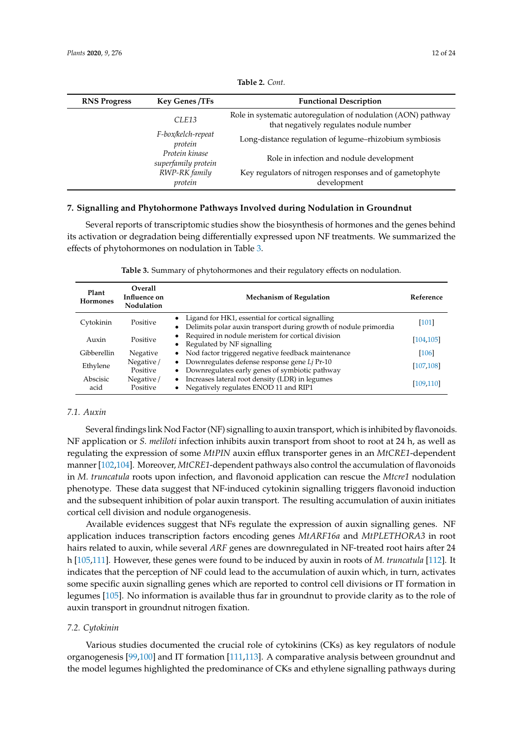| <b>RNS Progress</b> | <b>Key Genes /TFs</b>                 | <b>Functional Description</b>                                                                            |  |
|---------------------|---------------------------------------|----------------------------------------------------------------------------------------------------------|--|
|                     | CLE13                                 | Role in systematic autoregulation of nodulation (AON) pathway<br>that negatively regulates nodule number |  |
|                     | F-box/kelch-repeat<br>protein         | Long-distance regulation of legume-rhizobium symbiosis                                                   |  |
|                     | Protein kinase<br>superfamily protein | Role in infection and nodule development                                                                 |  |
|                     | RWP-RK family<br>protein              | Key regulators of nitrogen responses and of gametophyte<br>development                                   |  |
|                     |                                       |                                                                                                          |  |

**Table 2.** *Cont.*

## **7. Signalling and Phytohormone Pathways Involved during Nodulation in Groundnut**

Several reports of transcriptomic studies show the biosynthesis of hormones and the genes behind its activation or degradation being differentially expressed upon NF treatments. We summarized the effects of phytohormones on nodulation in Table 3.

| Plant<br>Hormones | <b>Overall</b><br>Influence on<br><b>Nodulation</b> | <b>Mechanism of Regulation</b>                                                                                                          | Reference  |
|-------------------|-----------------------------------------------------|-----------------------------------------------------------------------------------------------------------------------------------------|------------|
| Cytokinin         | Positive                                            | Ligand for HK1, essential for cortical signalling<br>$\bullet$<br>Delimits polar auxin transport during growth of nodule primordia<br>٠ | $[101]$    |
| Auxin             | Positive                                            | Required in nodule meristem for cortical division<br>$\bullet$<br>Regulated by NF signalling<br>$\bullet$                               | [104, 105] |
| Gibberellin       | Negative                                            | • Nod factor triggered negative feedback maintenance                                                                                    | $[106]$    |
| Ethylene          | Negative/<br>Positive                               | Downregulates defense response gene Li Pr-10<br>$\bullet$<br>Downregulates early genes of symbiotic pathway<br>$\bullet$                | [107, 108] |
| Abscisic<br>acid  | Negative/<br>Positive                               | Increases lateral root density (LDR) in legumes<br>$\bullet$<br>Negatively regulates ENOD 11 and RIP1                                   | [109, 110] |

**Table 3.** Summary of phytohormones and their regulatory effects on nodulation.

# *7.1. Auxin*

Several findings link Nod Factor (NF) signalling to auxin transport, which is inhibited by flavonoids. NF application or *S. meliloti* infection inhibits auxin transport from shoot to root at 24 h, as well as regulating the expression of some *MtPIN* auxin efflux transporter genes in an *MtCRE1*-dependent manner [102,104]. Moreover, *MtCRE1*-dependent pathways also control the accumulation of flavonoids in *M. truncatula* roots upon infection, and flavonoid application can rescue the *Mtcre1* nodulation phenotype. These data suggest that NF-induced cytokinin signalling triggers flavonoid induction and the subsequent inhibition of polar auxin transport. The resulting accumulation of auxin initiates cortical cell division and nodule organogenesis.

Available evidences suggest that NFs regulate the expression of auxin signalling genes. NF application induces transcription factors encoding genes *MtARF16a* and *MtPLETHORA3* in root hairs related to auxin, while several *ARF* genes are downregulated in NF-treated root hairs after 24 h [105,111]. However, these genes were found to be induced by auxin in roots of *M. truncatula* [112]. It indicates that the perception of NF could lead to the accumulation of auxin which, in turn, activates some specific auxin signalling genes which are reported to control cell divisions or IT formation in legumes [105]. No information is available thus far in groundnut to provide clarity as to the role of auxin transport in groundnut nitrogen fixation.

## *7.2. Cytokinin*

Various studies documented the crucial role of cytokinins (CKs) as key regulators of nodule organogenesis [99,100] and IT formation [111,113]. A comparative analysis between groundnut and the model legumes highlighted the predominance of CKs and ethylene signalling pathways during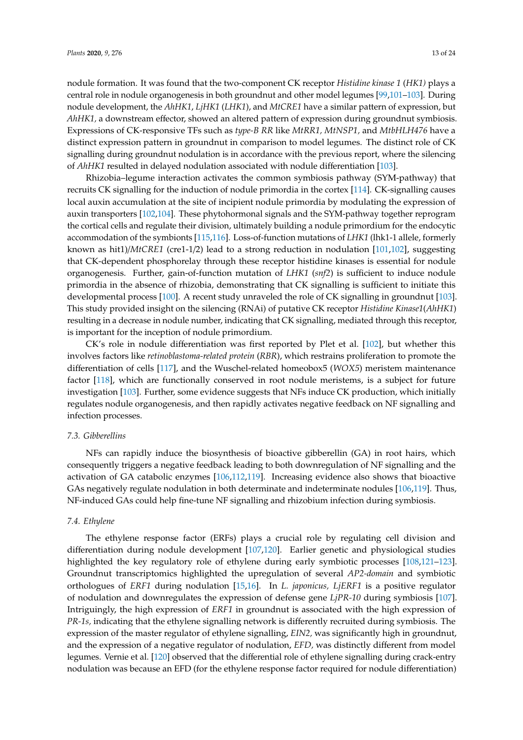nodule formation. It was found that the two-component CK receptor *Histidine kinase 1* (*HK1)* plays a central role in nodule organogenesis in both groundnut and other model legumes [99,101–103]. During nodule development, the *AhHK1*, *LjHK1* (*LHK1*), and *MtCRE1* have a similar pattern of expression, but *AhHK1,* a downstream effector, showed an altered pattern of expression during groundnut symbiosis. Expressions of CK-responsive TFs such as *type-B RR* like *MtRR1, MtNSP1,* and *MtbHLH476* have a distinct expression pattern in groundnut in comparison to model legumes. The distinct role of CK signalling during groundnut nodulation is in accordance with the previous report, where the silencing of *AhHK1* resulted in delayed nodulation associated with nodule differentiation [103].

Rhizobia–legume interaction activates the common symbiosis pathway (SYM-pathway) that recruits CK signalling for the induction of nodule primordia in the cortex [114]. CK-signalling causes local auxin accumulation at the site of incipient nodule primordia by modulating the expression of auxin transporters [102,104]. These phytohormonal signals and the SYM-pathway together reprogram the cortical cells and regulate their division, ultimately building a nodule primordium for the endocytic accommodation of the symbionts [115,116]. Loss-of-function mutations of *LHK1* (lhk1-1 allele, formerly known as hit1)/*MtCRE1* (cre1-1/2) lead to a strong reduction in nodulation [101,102], suggesting that CK-dependent phosphorelay through these receptor histidine kinases is essential for nodule organogenesis. Further, gain-of-function mutation of *LHK1* (*snf2*) is sufficient to induce nodule primordia in the absence of rhizobia, demonstrating that CK signalling is sufficient to initiate this developmental process [100]. A recent study unraveled the role of CK signalling in groundnut [103]. This study provided insight on the silencing (RNAi) of putative CK receptor *Histidine Kinase1*(*AhHK1*) resulting in a decrease in nodule number, indicating that CK signalling, mediated through this receptor, is important for the inception of nodule primordium.

CK's role in nodule differentiation was first reported by Plet et al. [102], but whether this involves factors like *retinoblastoma-related protein* (*RBR*), which restrains proliferation to promote the differentiation of cells [117], and the Wuschel-related homeobox5 (*WOX5*) meristem maintenance factor [118], which are functionally conserved in root nodule meristems, is a subject for future investigation [103]. Further, some evidence suggests that NFs induce CK production, which initially regulates nodule organogenesis, and then rapidly activates negative feedback on NF signalling and infection processes.

# *7.3. Gibberellins*

NFs can rapidly induce the biosynthesis of bioactive gibberellin (GA) in root hairs, which consequently triggers a negative feedback leading to both downregulation of NF signalling and the activation of GA catabolic enzymes [106,112,119]. Increasing evidence also shows that bioactive GAs negatively regulate nodulation in both determinate and indeterminate nodules [106,119]. Thus, NF-induced GAs could help fine-tune NF signalling and rhizobium infection during symbiosis.

# *7.4. Ethylene*

The ethylene response factor (ERFs) plays a crucial role by regulating cell division and differentiation during nodule development [107,120]. Earlier genetic and physiological studies highlighted the key regulatory role of ethylene during early symbiotic processes [108,121–123]. Groundnut transcriptomics highlighted the upregulation of several *AP2-domain* and symbiotic orthologues of *ERF1* during nodulation [15,16]. In *L. japonicus, LjERF1* is a positive regulator of nodulation and downregulates the expression of defense gene *LjPR-10* during symbiosis [107]. Intriguingly, the high expression of *ERF1* in groundnut is associated with the high expression of *PR-1s,* indicating that the ethylene signalling network is differently recruited during symbiosis. The expression of the master regulator of ethylene signalling, *EIN2,* was significantly high in groundnut, and the expression of a negative regulator of nodulation, *EFD,* was distinctly different from model legumes. Vernie et al. [120] observed that the differential role of ethylene signalling during crack-entry nodulation was because an EFD (for the ethylene response factor required for nodule differentiation)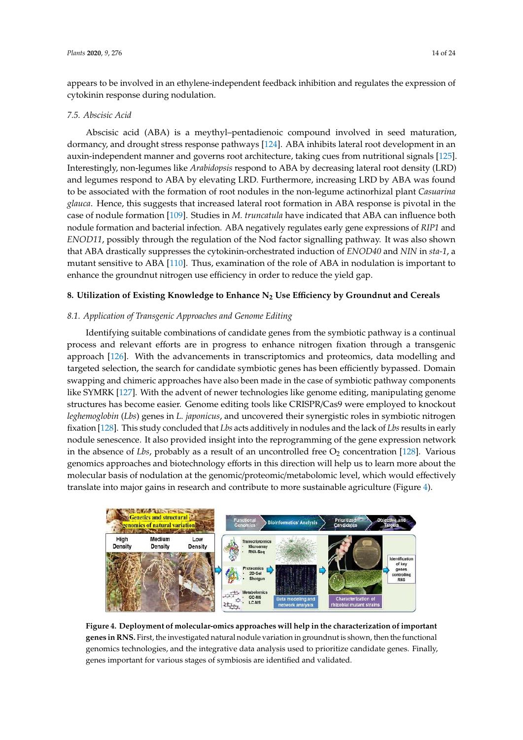appears to be involved in an ethylene-independent feedback inhibition and regulates the expression of cytokinin response during nodulation.

# *7.5. Abscisic Acid*

Abscisic acid (ABA) is a meythyl–pentadienoic compound involved in seed maturation, dormancy, and drought stress response pathways [124]. ABA inhibits lateral root development in an auxin-independent manner and governs root architecture, taking cues from nutritional signals [125]. Interestingly, non-legumes like *Arabidopsis* respond to ABA by decreasing lateral root density (LRD) and legumes respond to ABA by elevating LRD. Furthermore, increasing LRD by ABA was found to be associated with the formation of root nodules in the non-legume actinorhizal plant *Casuarina glauca*. Hence, this suggests that increased lateral root formation in ABA response is pivotal in the – case of nodule formation [109]. Studies in *M. truncatula* have indicated that ABA can influence both nodule formation and bacterial infection. ABA negatively regulates early gene expressions of *RIP1* and *ENOD11*, possibly through the regulation of the Nod factor signalling pathway. It was also shown that ABA drastically suppresses the cytokinin-orchestrated induction of *ENOD40* and *NIN* in *sta-1*, a mutant sensitive to ABA [110]. Thus, examination of the role of ABA in nodulation is important to enhance the groundnut nitrogen use efficiency in order to reduce the yield gap.

# **8. Utilization of Existing Knowledge to Enhance N<sup>2</sup> Use E**ffi**ciency by Groundnut and Cereals**

# *8.1. Application of Transgenic Approaches and Genome Editing*

Identifying suitable combinations of candidate genes from the symbiotic pathway is a continual process and relevant efforts are in progress to enhance nitrogen fixation through a transgenic approach [126]. With the advancements in transcriptomics and proteomics, data modelling and targeted selection, the search for candidate symbiotic genes has been efficiently bypassed. Domain swapping and chimeric approaches have also been made in the case of symbiotic pathway components like SYMRK [127]. With the advent of newer technologies like genome editing, manipulating genome structures has become easier. Genome editing tools like CRISPR/Cas9 were employed to knockout *leghemoglobin* (*Lbs*) genes in *L. japonicus*, and uncovered their synergistic roles in symbiotic nitrogen fixation [128]. This study concluded that *Lbs* acts additively in nodules and the lack of *Lbs*results in early nodule senescence. It also provided insight into the reprogramming of the gene expression network in the absence of *Lbs*, probably as a result of an uncontrolled free  $O_2$  concentration [128]. Various genomics approaches and biotechnology efforts in this direction will help us to learn more about the molecular basis of nodulation at the genomic/proteomic/metabolomic level, which would effectively translate into major gains in research and contribute to more sustainable agriculture (Figure 4).



**Figure 4. Deployment of molecular-omics approaches will help in the characterization of important genes in RNS.** First, the investigated natural nodule variation in groundnut is shown, then the functional genomics technologies, and the integrative data analysis used to prioritize candidate genes. Finally, genes important for various stages of symbiosis are identified and validated.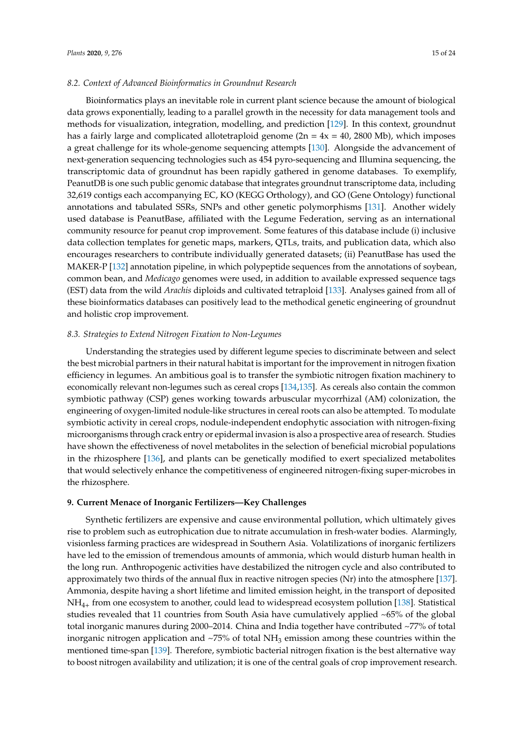## *8.2. Context of Advanced Bioinformatics in Groundnut Research*

Bioinformatics plays an inevitable role in current plant science because the amount of biological data grows exponentially, leading to a parallel growth in the necessity for data management tools and methods for visualization, integration, modelling, and prediction [129]. In this context, groundnut has a fairly large and complicated allotetraploid genome ( $2n = 4x = 40$ , 2800 Mb), which imposes a great challenge for its whole-genome sequencing attempts [130]. Alongside the advancement of next-generation sequencing technologies such as 454 pyro-sequencing and Illumina sequencing, the transcriptomic data of groundnut has been rapidly gathered in genome databases. To exemplify, PeanutDB is one such public genomic database that integrates groundnut transcriptome data, including 32,619 contigs each accompanying EC, KO (KEGG Orthology), and GO (Gene Ontology) functional annotations and tabulated SSRs, SNPs and other genetic polymorphisms [131]. Another widely used database is PeanutBase, affiliated with the Legume Federation, serving as an international community resource for peanut crop improvement. Some features of this database include (i) inclusive data collection templates for genetic maps, markers, QTLs, traits, and publication data, which also encourages researchers to contribute individually generated datasets; (ii) PeanutBase has used the MAKER-P [132] annotation pipeline, in which polypeptide sequences from the annotations of soybean, common bean, and *Medicago* genomes were used, in addition to available expressed sequence tags (EST) data from the wild *Arachis* diploids and cultivated tetraploid [133]. Analyses gained from all of these bioinformatics databases can positively lead to the methodical genetic engineering of groundnut and holistic crop improvement.

#### *8.3. Strategies to Extend Nitrogen Fixation to Non-Legumes*

Understanding the strategies used by different legume species to discriminate between and select the best microbial partners in their natural habitat is important for the improvement in nitrogen fixation efficiency in legumes. An ambitious goal is to transfer the symbiotic nitrogen fixation machinery to economically relevant non-legumes such as cereal crops [134,135]. As cereals also contain the common symbiotic pathway (CSP) genes working towards arbuscular mycorrhizal (AM) colonization, the engineering of oxygen-limited nodule-like structures in cereal roots can also be attempted. To modulate symbiotic activity in cereal crops, nodule-independent endophytic association with nitrogen-fixing microorganisms through crack entry or epidermal invasion is also a prospective area of research. Studies have shown the effectiveness of novel metabolites in the selection of beneficial microbial populations in the rhizosphere [136], and plants can be genetically modified to exert specialized metabolites that would selectively enhance the competitiveness of engineered nitrogen-fixing super-microbes in the rhizosphere.

#### **9. Current Menace of Inorganic Fertilizers—Key Challenges**

Synthetic fertilizers are expensive and cause environmental pollution, which ultimately gives rise to problem such as eutrophication due to nitrate accumulation in fresh-water bodies. Alarmingly, visionless farming practices are widespread in Southern Asia. Volatilizations of inorganic fertilizers have led to the emission of tremendous amounts of ammonia, which would disturb human health in the long run. Anthropogenic activities have destabilized the nitrogen cycle and also contributed to approximately two thirds of the annual flux in reactive nitrogen species (Nr) into the atmosphere [137]. Ammonia, despite having a short lifetime and limited emission height, in the transport of deposited NH4<sup>+</sup> from one ecosystem to another, could lead to widespread ecosystem pollution [138]. Statistical studies revealed that 11 countries from South Asia have cumulatively applied ~65% of the global total inorganic manures during 2000–2014. China and India together have contributed ~77% of total inorganic nitrogen application and  $\sim$ 75% of total NH<sub>3</sub> emission among these countries within the mentioned time-span [139]. Therefore, symbiotic bacterial nitrogen fixation is the best alternative way to boost nitrogen availability and utilization; it is one of the central goals of crop improvement research.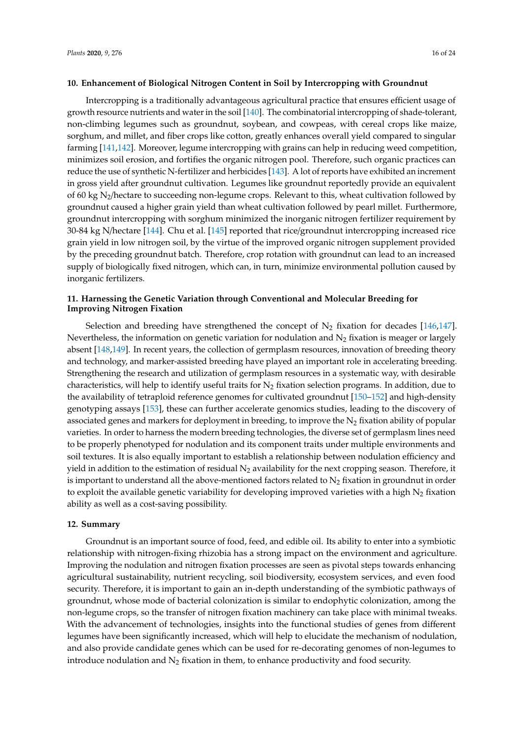#### **10. Enhancement of Biological Nitrogen Content in Soil by Intercropping with Groundnut**

Intercropping is a traditionally advantageous agricultural practice that ensures efficient usage of growth resource nutrients and water in the soil [140]. The combinatorial intercropping of shade-tolerant, non-climbing legumes such as groundnut, soybean, and cowpeas, with cereal crops like maize, sorghum, and millet, and fiber crops like cotton, greatly enhances overall yield compared to singular farming [141,142]. Moreover, legume intercropping with grains can help in reducing weed competition, minimizes soil erosion, and fortifies the organic nitrogen pool. Therefore, such organic practices can reduce the use of synthetic N-fertilizer and herbicides [143]. A lot of reports have exhibited an increment in gross yield after groundnut cultivation. Legumes like groundnut reportedly provide an equivalent of 60 kg  $N_2$ /hectare to succeeding non-legume crops. Relevant to this, wheat cultivation followed by groundnut caused a higher grain yield than wheat cultivation followed by pearl millet. Furthermore, groundnut intercropping with sorghum minimized the inorganic nitrogen fertilizer requirement by 30-84 kg N/hectare [144]. Chu et al. [145] reported that rice/groundnut intercropping increased rice grain yield in low nitrogen soil, by the virtue of the improved organic nitrogen supplement provided by the preceding groundnut batch. Therefore, crop rotation with groundnut can lead to an increased supply of biologically fixed nitrogen, which can, in turn, minimize environmental pollution caused by inorganic fertilizers.

# **11. Harnessing the Genetic Variation through Conventional and Molecular Breeding for Improving Nitrogen Fixation**

Selection and breeding have strengthened the concept of  $N_2$  fixation for decades [146,147]. Nevertheless, the information on genetic variation for nodulation and  $N_2$  fixation is meager or largely absent [148,149]. In recent years, the collection of germplasm resources, innovation of breeding theory and technology, and marker-assisted breeding have played an important role in accelerating breeding. Strengthening the research and utilization of germplasm resources in a systematic way, with desirable characteristics, will help to identify useful traits for  $N_2$  fixation selection programs. In addition, due to the availability of tetraploid reference genomes for cultivated groundnut [150–152] and high-density genotyping assays [153], these can further accelerate genomics studies, leading to the discovery of associated genes and markers for deployment in breeding, to improve the  $N_2$  fixation ability of popular varieties. In order to harness the modern breeding technologies, the diverse set of germplasm lines need to be properly phenotyped for nodulation and its component traits under multiple environments and soil textures. It is also equally important to establish a relationship between nodulation efficiency and yield in addition to the estimation of residual  $N_2$  availability for the next cropping season. Therefore, it is important to understand all the above-mentioned factors related to  $N<sub>2</sub>$  fixation in groundnut in order to exploit the available genetic variability for developing improved varieties with a high  $N_2$  fixation ability as well as a cost-saving possibility.

# **12. Summary**

Groundnut is an important source of food, feed, and edible oil. Its ability to enter into a symbiotic relationship with nitrogen-fixing rhizobia has a strong impact on the environment and agriculture. Improving the nodulation and nitrogen fixation processes are seen as pivotal steps towards enhancing agricultural sustainability, nutrient recycling, soil biodiversity, ecosystem services, and even food security. Therefore, it is important to gain an in-depth understanding of the symbiotic pathways of groundnut, whose mode of bacterial colonization is similar to endophytic colonization, among the non-legume crops, so the transfer of nitrogen fixation machinery can take place with minimal tweaks. With the advancement of technologies, insights into the functional studies of genes from different legumes have been significantly increased, which will help to elucidate the mechanism of nodulation, and also provide candidate genes which can be used for re-decorating genomes of non-legumes to introduce nodulation and  $N_2$  fixation in them, to enhance productivity and food security.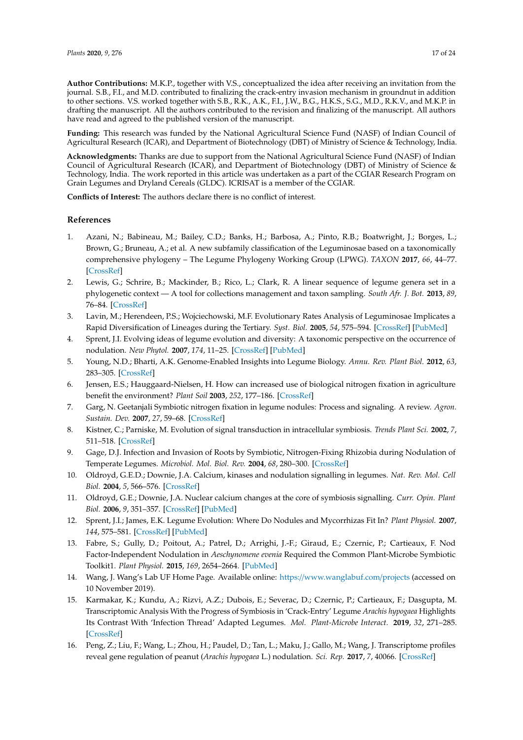**Author Contributions:** M.K.P., together with V.S., conceptualized the idea after receiving an invitation from the journal. S.B., F.I., and M.D. contributed to finalizing the crack-entry invasion mechanism in groundnut in addition to other sections. V.S. worked together with S.B., R.K., A.K., F.I., J.W., B.G., H.K.S., S.G., M.D., R.K.V., and M.K.P. in drafting the manuscript. All the authors contributed to the revision and finalizing of the manuscript. All authors have read and agreed to the published version of the manuscript.

**Funding:** This research was funded by the National Agricultural Science Fund (NASF) of Indian Council of Agricultural Research (ICAR), and Department of Biotechnology (DBT) of Ministry of Science & Technology, India.

**Acknowledgments:** Thanks are due to support from the National Agricultural Science Fund (NASF) of Indian Council of Agricultural Research (ICAR), and Department of Biotechnology (DBT) of Ministry of Science & Technology, India. The work reported in this article was undertaken as a part of the CGIAR Research Program on Grain Legumes and Dryland Cereals (GLDC). ICRISAT is a member of the CGIAR.

**Conflicts of Interest:** The authors declare there is no conflict of interest.

#### **References**

- 1. Azani, N.; Babineau, M.; Bailey, C.D.; Banks, H.; Barbosa, A.; Pinto, R.B.; Boatwright, J.; Borges, L.; Brown, G.; Bruneau, A.; et al. A new subfamily classification of the Leguminosae based on a taxonomically comprehensive phylogeny – The Legume Phylogeny Working Group (LPWG). *TAXON* **2017**, *66*, 44–77. [CrossRef]
- 2. Lewis, G.; Schrire, B.; Mackinder, B.; Rico, L.; Clark, R. A linear sequence of legume genera set in a phylogenetic context — A tool for collections management and taxon sampling. *South Afr. J. Bot.* **2013**, *89*, 76–84. [CrossRef]
- 3. Lavin, M.; Herendeen, P.S.; Wojciechowski, M.F. Evolutionary Rates Analysis of Leguminosae Implicates a Rapid Diversification of Lineages during the Tertiary. *Syst. Biol.* **2005**, *54*, 575–594. [CrossRef] [PubMed]
- 4. Sprent, J.I. Evolving ideas of legume evolution and diversity: A taxonomic perspective on the occurrence of nodulation. *New Phytol.* **2007**, *174*, 11–25. [CrossRef] [PubMed]
- 5. Young, N.D.; Bharti, A.K. Genome-Enabled Insights into Legume Biology. *Annu. Rev. Plant Biol.* **2012**, *63*, 283–305. [CrossRef]
- 6. Jensen, E.S.; Hauggaard-Nielsen, H. How can increased use of biological nitrogen fixation in agriculture benefit the environment? *Plant Soil* **2003**, *252*, 177–186. [CrossRef]
- 7. Garg, N. Geetanjali Symbiotic nitrogen fixation in legume nodules: Process and signaling. A review. *Agron. Sustain. Dev.* **2007**, *27*, 59–68. [CrossRef]
- 8. Kistner, C.; Parniske, M. Evolution of signal transduction in intracellular symbiosis. *Trends Plant Sci.* **2002**, *7*, 511–518. [CrossRef]
- 9. Gage, D.J. Infection and Invasion of Roots by Symbiotic, Nitrogen-Fixing Rhizobia during Nodulation of Temperate Legumes. *Microbiol. Mol. Biol. Rev.* **2004**, *68*, 280–300. [CrossRef]
- 10. Oldroyd, G.E.D.; Downie, J.A. Calcium, kinases and nodulation signalling in legumes. *Nat. Rev. Mol. Cell Biol.* **2004**, *5*, 566–576. [CrossRef]
- 11. Oldroyd, G.E.; Downie, J.A. Nuclear calcium changes at the core of symbiosis signalling. *Curr. Opin. Plant Biol.* **2006**, *9*, 351–357. [CrossRef] [PubMed]
- 12. Sprent, J.I.; James, E.K. Legume Evolution: Where Do Nodules and Mycorrhizas Fit In? *Plant Physiol.* **2007**, *144*, 575–581. [CrossRef] [PubMed]
- 13. Fabre, S.; Gully, D.; Poitout, A.; Patrel, D.; Arrighi, J.-F.; Giraud, E.; Czernic, P.; Cartieaux, F. Nod Factor-Independent Nodulation in *Aeschynomene evenia* Required the Common Plant-Microbe Symbiotic Toolkit1. *Plant Physiol.* **2015**, *169*, 2654–2664. [PubMed]
- 14. Wang, J. Wang's Lab UF Home Page. Available online: https://www.wanglabuf.com/projects (accessed on 10 November 2019).
- 15. Karmakar, K.; Kundu, A.; Rizvi, A.Z.; Dubois, E.; Severac, D.; Czernic, P.; Cartieaux, F.; Dasgupta, M. Transcriptomic Analysis With the Progress of Symbiosis in 'Crack-Entry' Legume *Arachis hypogaea* Highlights Its Contrast With 'Infection Thread' Adapted Legumes. *Mol. Plant-Microbe Interact.* **2019**, *32*, 271–285. [CrossRef]
- 16. Peng, Z.; Liu, F.; Wang, L.; Zhou, H.; Paudel, D.; Tan, L.; Maku, J.; Gallo, M.; Wang, J. Transcriptome profiles reveal gene regulation of peanut (*Arachis hypogaea* L.) nodulation. *Sci. Rep.* **2017**, *7*, 40066. [CrossRef]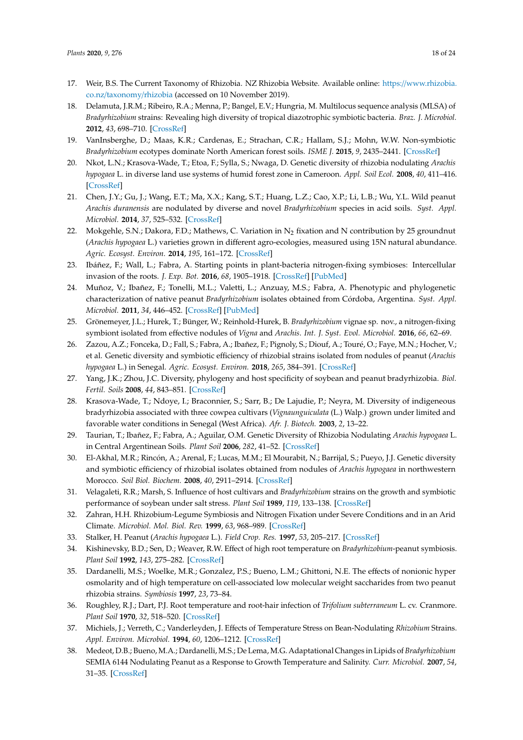- 17. Weir, B.S. The Current Taxonomy of Rhizobia. NZ Rhizobia Website. Available online: https://www.rhizobia. co.nz/taxonomy/rhizobia (accessed on 10 November 2019).
- 18. Delamuta, J.R.M.; Ribeiro, R.A.; Menna, P.; Bangel, E.V.; Hungria, M. Multilocus sequence analysis (MLSA) of *Bradyrhizobium* strains: Revealing high diversity of tropical diazotrophic symbiotic bacteria. *Braz. J. Microbiol.* **2012**, *43*, 698–710. [CrossRef]
- 19. VanInsberghe, D.; Maas, K.R.; Cardenas, E.; Strachan, C.R.; Hallam, S.J.; Mohn, W.W. Non-symbiotic *Bradyrhizobium* ecotypes dominate North American forest soils. *ISME J.* **2015**, *9*, 2435–2441. [CrossRef]
- 20. Nkot, L.N.; Krasova-Wade, T.; Etoa, F.; Sylla, S.; Nwaga, D. Genetic diversity of rhizobia nodulating *Arachis hypogaea* L. in diverse land use systems of humid forest zone in Cameroon. *Appl. Soil Ecol.* **2008**, *40*, 411–416. [CrossRef]
- 21. Chen, J.Y.; Gu, J.; Wang, E.T.; Ma, X.X.; Kang, S.T.; Huang, L.Z.; Cao, X.P.; Li, L.B.; Wu, Y.L. Wild peanut *Arachis duranensis* are nodulated by diverse and novel *Bradyrhizobium* species in acid soils. *Syst. Appl. Microbiol.* **2014**, *37*, 525–532. [CrossRef]
- 22. Mokgehle, S.N.; Dakora, F.D.; Mathews, C. Variation in  $N_2$  fixation and N contribution by 25 groundnut (*Arachis hypogaea* L.) varieties grown in different agro-ecologies, measured using 15N natural abundance. *Agric. Ecosyst. Environ.* **2014**, *195*, 161–172. [CrossRef]
- 23. Ibáñez, F.; Wall, L.; Fabra, A. Starting points in plant-bacteria nitrogen-fixing symbioses: Intercellular invasion of the roots. *J. Exp. Bot.* **2016**, *68*, 1905–1918. [CrossRef] [PubMed]
- 24. Muñoz, V.; Ibañez, F.; Tonelli, M.L.; Valetti, L.; Anzuay, M.S.; Fabra, A. Phenotypic and phylogenetic characterization of native peanut *Bradyrhizobium* isolates obtained from Córdoba, Argentina. *Syst. Appl. Microbiol.* **2011**, *34*, 446–452. [CrossRef] [PubMed]
- 25. Grönemeyer, J.L.; Hurek, T.; Bünger, W.; Reinhold-Hurek, B. *Bradyrhizobium* vignae sp. nov., a nitrogen-fixing symbiont isolated from effective nodules of *Vigna* and *Arachis*. *Int. J. Syst. Evol. Microbiol.* **2016**, *66*, 62–69.
- 26. Zazou, A.Z.; Fonceka, D.; Fall, S.; Fabra, A.; Ibañez, F.; Pignoly, S.; Diouf, A.; Touré, O.; Faye, M.N.; Hocher, V.; et al. Genetic diversity and symbiotic efficiency of rhizobial strains isolated from nodules of peanut (*Arachis hypogaea* L.) in Senegal. *Agric. Ecosyst. Environ.* **2018**, *265*, 384–391. [CrossRef]
- 27. Yang, J.K.; Zhou, J.C. Diversity, phylogeny and host specificity of soybean and peanut bradyrhizobia. *Biol. Fertil. Soils* **2008**, *44*, 843–851. [CrossRef]
- 28. Krasova-Wade, T.; Ndoye, I.; Braconnier, S.; Sarr, B.; De Lajudie, P.; Neyra, M. Diversity of indigeneous bradyrhizobia associated with three cowpea cultivars (*Vignaunguiculata* (L.) Walp.) grown under limited and favorable water conditions in Senegal (West Africa). *Afr. J. Biotech.* **2003**, *2*, 13–22.
- 29. Taurian, T.; Ibañez, F.; Fabra, A.; Aguilar, O.M. Genetic Diversity of Rhizobia Nodulating *Arachis hypogaea* L. in Central Argentinean Soils. *Plant Soil* **2006**, *282*, 41–52. [CrossRef]
- 30. El-Akhal, M.R.; Rincón, A.; Arenal, F.; Lucas, M.M.; El Mourabit, N.; Barrijal, S.; Pueyo, J.J. Genetic diversity and symbiotic efficiency of rhizobial isolates obtained from nodules of *Arachis hypogaea* in northwestern Morocco. *Soil Biol. Biochem.* **2008**, *40*, 2911–2914. [CrossRef]
- 31. Velagaleti, R.R.; Marsh, S. Influence of host cultivars and *Bradyrhizobium* strains on the growth and symbiotic performance of soybean under salt stress. *Plant Soil* **1989**, *119*, 133–138. [CrossRef]
- 32. Zahran, H.H. Rhizobium-Legume Symbiosis and Nitrogen Fixation under Severe Conditions and in an Arid Climate. *Microbiol. Mol. Biol. Rev.* **1999**, *63*, 968–989. [CrossRef]
- 33. Stalker, H. Peanut (*Arachis hypogaea* L.). *Field Crop. Res.* **1997**, *53*, 205–217. [CrossRef]
- 34. Kishinevsky, B.D.; Sen, D.; Weaver, R.W. Effect of high root temperature on *Bradyrhizobium*-peanut symbiosis. *Plant Soil* **1992**, *143*, 275–282. [CrossRef]
- 35. Dardanelli, M.S.; Woelke, M.R.; Gonzalez, P.S.; Bueno, L.M.; Ghittoni, N.E. The effects of nonionic hyper osmolarity and of high temperature on cell-associated low molecular weight saccharides from two peanut rhizobia strains. *Symbiosis* **1997**, *23*, 73–84.
- 36. Roughley, R.J.; Dart, P.J. Root temperature and root-hair infection of *Trifolium subterraneum* L. cv. Cranmore. *Plant Soil* **1970**, *32*, 518–520. [CrossRef]
- 37. Michiels, J.; Verreth, C.; Vanderleyden, J. Effects of Temperature Stress on Bean-Nodulating *Rhizobium* Strains. *Appl. Environ. Microbiol.* **1994**, *60*, 1206–1212. [CrossRef]
- 38. Medeot, D.B.; Bueno, M.A.; Dardanelli, M.S.; De Lema, M.G. Adaptational Changes in Lipids of *Bradyrhizobium* SEMIA 6144 Nodulating Peanut as a Response to Growth Temperature and Salinity. *Curr. Microbiol.* **2007**, *54*, 31–35. [CrossRef]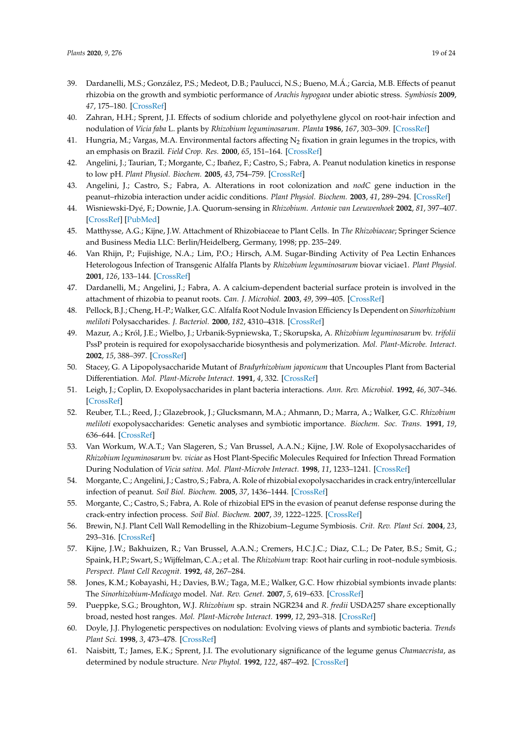- 39. Dardanelli, M.S.; González, P.S.; Medeot, D.B.; Paulucci, N.S.; Bueno, M.Á.; Garcia, M.B. Effects of peanut rhizobia on the growth and symbiotic performance of *Arachis hypogaea* under abiotic stress. *Symbiosis* **2009**, *47*, 175–180. [CrossRef]
- 40. Zahran, H.H.; Sprent, J.I. Effects of sodium chloride and polyethylene glycol on root-hair infection and nodulation of *Vicia faba* L. plants by *Rhizobium leguminosarum*. *Planta* **1986**, *167*, 303–309. [CrossRef]
- 41. Hungria, M.; Vargas, M.A. Environmental factors affecting  $N_2$  fixation in grain legumes in the tropics, with an emphasis on Brazil. *Field Crop. Res.* **2000**, *65*, 151–164. [CrossRef]
- 42. Angelini, J.; Taurian, T.; Morgante, C.; Ibañez, F.; Castro, S.; Fabra, A. Peanut nodulation kinetics in response to low pH. *Plant Physiol. Biochem.* **2005**, *43*, 754–759. [CrossRef]
- 43. Angelini, J.; Castro, S.; Fabra, A. Alterations in root colonization and *nodC* gene induction in the peanut–rhizobia interaction under acidic conditions. *Plant Physiol. Biochem.* **2003**, *41*, 289–294. [CrossRef]
- 44. Wisniewski-Dyé, F.; Downie, J.A. Quorum-sensing in *Rhizobium*. *Antonie van Leeuwenhoek* **2002**, *81*, 397–407. [CrossRef] [PubMed]
- 45. Matthysse, A.G.; Kijne, J.W. Attachment of Rhizobiaceae to Plant Cells. In *The Rhizobiaceae*; Springer Science and Business Media LLC: Berlin/Heidelberg, Germany, 1998; pp. 235–249.
- 46. Van Rhijn, P.; Fujishige, N.A.; Lim, P.O.; Hirsch, A.M. Sugar-Binding Activity of Pea Lectin Enhances Heterologous Infection of Transgenic Alfalfa Plants by *Rhizobium leguminosarum* biovar viciae1. *Plant Physiol.* **2001**, *126*, 133–144. [CrossRef]
- 47. Dardanelli, M.; Angelini, J.; Fabra, A. A calcium-dependent bacterial surface protein is involved in the attachment of rhizobia to peanut roots. *Can. J. Microbiol.* **2003**, *49*, 399–405. [CrossRef]
- 48. Pellock, B.J.; Cheng, H.-P.; Walker, G.C. Alfalfa Root Nodule Invasion Efficiency Is Dependent on *Sinorhizobium meliloti* Polysaccharides. *J. Bacteriol.* **2000**, *182*, 4310–4318. [CrossRef]
- 49. Mazur, A.; Król, J.E.; Wielbo, J.; Urbanik-Sypniewska, T.; Skorupska, A. *Rhizobium leguminosarum* bv. *trifolii* PssP protein is required for exopolysaccharide biosynthesis and polymerization. *Mol. Plant-Microbe. Interact.* **2002**, *15*, 388–397. [CrossRef]
- 50. Stacey, G. A Lipopolysaccharide Mutant of *Bradyrhizobium japonicum* that Uncouples Plant from Bacterial Differentiation. *Mol. Plant-Microbe Interact.* **1991**, *4*, 332. [CrossRef]
- 51. Leigh, J.; Coplin, D. Exopolysaccharides in plant bacteria interactions. *Ann. Rev. Microbiol.* **1992**, *46*, 307–346. [CrossRef]
- 52. Reuber, T.L.; Reed, J.; Glazebrook, J.; Glucksmann, M.A.; Ahmann, D.; Marra, A.; Walker, G.C. *Rhizobium meliloti* exopolysaccharides: Genetic analyses and symbiotic importance. *Biochem. Soc. Trans.* **1991**, *19*, 636–644. [CrossRef]
- 53. Van Workum, W.A.T.; Van Slageren, S.; Van Brussel, A.A.N.; Kijne, J.W. Role of Exopolysaccharides of *Rhizobium leguminosarum* bv. *viciae* as Host Plant-Specific Molecules Required for Infection Thread Formation During Nodulation of *Vicia sativa*. *Mol. Plant-Microbe Interact.* **1998**, *11*, 1233–1241. [CrossRef]
- 54. Morgante, C.; Angelini, J.; Castro, S.; Fabra, A. Role of rhizobial exopolysaccharides in crack entry/intercellular infection of peanut. *Soil Biol. Biochem.* **2005**, *37*, 1436–1444. [CrossRef]
- 55. Morgante, C.; Castro, S.; Fabra, A. Role of rhizobial EPS in the evasion of peanut defense response during the crack-entry infection process. *Soil Biol. Biochem.* **2007**, *39*, 1222–1225. [CrossRef]
- 56. Brewin, N.J. Plant Cell Wall Remodelling in the Rhizobium–Legume Symbiosis. *Crit. Rev. Plant Sci.* **2004**, *23*, 293–316. [CrossRef]
- 57. Kijne, J.W.; Bakhuizen, R.; Van Brussel, A.A.N.; Cremers, H.C.J.C.; Diaz, C.L.; De Pater, B.S.; Smit, G.; Spaink, H.P.; Swart, S.; Wijffelman, C.A.; et al. The *Rhizobium* trap: Root hair curling in root–nodule symbiosis. *Perspect. Plant Cell Recognit.* **1992**, *48*, 267–284.
- 58. Jones, K.M.; Kobayashi, H.; Davies, B.W.; Taga, M.E.; Walker, G.C. How rhizobial symbionts invade plants: The *Sinorhizobium*-*Medicago* model. *Nat. Rev. Genet.* **2007**, *5*, 619–633. [CrossRef]
- 59. Pueppke, S.G.; Broughton, W.J. *Rhizobium* sp. strain NGR234 and *R. fredii* USDA257 share exceptionally broad, nested host ranges. *Mol. Plant-Microbe Interact.* **1999**, *12*, 293–318. [CrossRef]
- 60. Doyle, J.J. Phylogenetic perspectives on nodulation: Evolving views of plants and symbiotic bacteria. *Trends Plant Sci.* **1998**, *3*, 473–478. [CrossRef]
- 61. Naisbitt, T.; James, E.K.; Sprent, J.I. The evolutionary significance of the legume genus *Chamaecrista*, as determined by nodule structure. *New Phytol.* **1992**, *122*, 487–492. [CrossRef]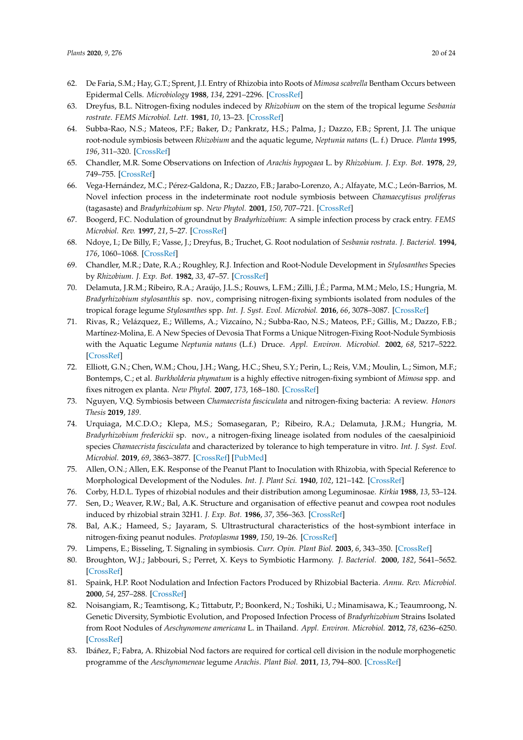- 62. De Faria, S.M.; Hay, G.T.; Sprent, J.I. Entry of Rhizobia into Roots of *Mimosa scabrella* Bentham Occurs between Epidermal Cells. *Microbiology* **1988**, *134*, 2291–2296. [CrossRef]
- 63. Dreyfus, B.L. Nitrogen-fixing nodules indeced by *Rhizobium* on the stem of the tropical legume *Sesbania rostrate*. *FEMS Microbiol. Lett.* **1981**, *10*, 13–23. [CrossRef]
- 64. Subba-Rao, N.S.; Mateos, P.F.; Baker, D.; Pankratz, H.S.; Palma, J.; Dazzo, F.B.; Sprent, J.I. The unique root-nodule symbiosis between *Rhizobium* and the aquatic legume, *Neptunia natans* (L. f.) Druce. *Planta* **1995**, *196*, 311–320. [CrossRef]
- 65. Chandler, M.R. Some Observations on Infection of *Arachis hypogaea* L. by *Rhizobium*. *J. Exp. Bot.* **1978**, *29*, 749–755. [CrossRef]
- 66. Vega-Hernández, M.C.; Pérez-Galdona, R.; Dazzo, F.B.; Jarabo-Lorenzo, A.; Alfayate, M.C.; León-Barrios, M. Novel infection process in the indeterminate root nodule symbiosis between *Chamaecytisus proliferus* (tagasaste) and *Bradyrhizobium* sp. *New Phytol.* **2001**, *150*, 707–721. [CrossRef]
- 67. Boogerd, F.C. Nodulation of groundnut by *Bradyrhizobium*: A simple infection process by crack entry. *FEMS Microbiol. Rev.* **1997**, *21*, 5–27. [CrossRef]
- 68. Ndoye, I.; De Billy, F.; Vasse, J.; Dreyfus, B.; Truchet, G. Root nodulation of *Sesbania rostrata*. *J. Bacteriol.* **1994**, *176*, 1060–1068. [CrossRef]
- 69. Chandler, M.R.; Date, R.A.; Roughley, R.J. Infection and Root-Nodule Development in *Stylosanthes* Species by *Rhizobium*. *J. Exp. Bot.* **1982**, *33*, 47–57. [CrossRef]
- 70. Delamuta, J.R.M.; Ribeiro, R.A.; Araújo, J.L.S.; Rouws, L.F.M.; Zilli, J.É.; Parma, M.M.; Melo, I.S.; Hungria, M. *Bradyrhizobium stylosanthis* sp. nov., comprising nitrogen-fixing symbionts isolated from nodules of the tropical forage legume *Stylosanthes* spp. *Int. J. Syst. Evol. Microbiol.* **2016**, *66*, 3078–3087. [CrossRef]
- 71. Rivas, R.; Velázquez, E.; Willems, A.; Vizcaíno, N.; Subba-Rao, N.S.; Mateos, P.F.; Gillis, M.; Dazzo, F.B.; Martínez-Molina, E. A New Species of Devosia That Forms a Unique Nitrogen-Fixing Root-Nodule Symbiosis with the Aquatic Legume *Neptunia natans* (L.f.) Druce. *Appl. Environ. Microbiol.* **2002**, *68*, 5217–5222. [CrossRef]
- 72. Elliott, G.N.; Chen, W.M.; Chou, J.H.; Wang, H.C.; Sheu, S.Y.; Perin, L.; Reis, V.M.; Moulin, L.; Simon, M.F.; Bontemps, C.; et al. *Burkholderia phymatum* is a highly effective nitrogen-fixing symbiont of *Mimosa* spp. and fixes nitrogen ex planta. *New Phytol.* **2007**, *173*, 168–180. [CrossRef]
- 73. Nguyen, V.Q. Symbiosis between *Chamaecrista fasciculata* and nitrogen-fixing bacteria: A review. *Honors Thesis* **2019**, *189*.
- 74. Urquiaga, M.C.D.O.; Klepa, M.S.; Somasegaran, P.; Ribeiro, R.A.; Delamuta, J.R.M.; Hungria, M. *Bradyrhizobium frederickii* sp. nov., a nitrogen-fixing lineage isolated from nodules of the caesalpinioid species *Chamaecrista fasciculata* and characterized by tolerance to high temperature in vitro. *Int. J. Syst. Evol. Microbiol.* **2019**, *69*, 3863–3877. [CrossRef] [PubMed]
- 75. Allen, O.N.; Allen, E.K. Response of the Peanut Plant to Inoculation with Rhizobia, with Special Reference to Morphological Development of the Nodules. *Int. J. Plant Sci.* **1940**, *102*, 121–142. [CrossRef]
- 76. Corby, H.D.L. Types of rhizobial nodules and their distribution among Leguminosae. *Kirkia* **1988**, *13*, 53–124.
- 77. Sen, D.; Weaver, R.W.; Bal, A.K. Structure and organisation of effective peanut and cowpea root nodules induced by rhizobial strain 32H1. *J. Exp. Bot.* **1986**, *37*, 356–363. [CrossRef]
- 78. Bal, A.K.; Hameed, S.; Jayaram, S. Ultrastructural characteristics of the host-symbiont interface in nitrogen-fixing peanut nodules. *Protoplasma* **1989**, *150*, 19–26. [CrossRef]
- 79. Limpens, E.; Bisseling, T. Signaling in symbiosis. *Curr. Opin. Plant Biol.* **2003**, *6*, 343–350. [CrossRef]
- 80. Broughton, W.J.; Jabbouri, S.; Perret, X. Keys to Symbiotic Harmony. *J. Bacteriol.* **2000**, *182*, 5641–5652. [CrossRef]
- 81. Spaink, H.P. Root Nodulation and Infection Factors Produced by Rhizobial Bacteria. *Annu. Rev. Microbiol.* **2000**, *54*, 257–288. [CrossRef]
- 82. Noisangiam, R.; Teamtisong, K.; Tittabutr, P.; Boonkerd, N.; Toshiki, U.; Minamisawa, K.; Teaumroong, N. Genetic Diversity, Symbiotic Evolution, and Proposed Infection Process of *Bradyrhizobium* Strains Isolated from Root Nodules of *Aeschynomene americana* L. in Thailand. *Appl. Environ. Microbiol.* **2012**, *78*, 6236–6250. [CrossRef]
- 83. Ibáñez, F.; Fabra, A. Rhizobial Nod factors are required for cortical cell division in the nodule morphogenetic programme of the *Aeschynomeneae* legume *Arachis*. *Plant Biol.* **2011**, *13*, 794–800. [CrossRef]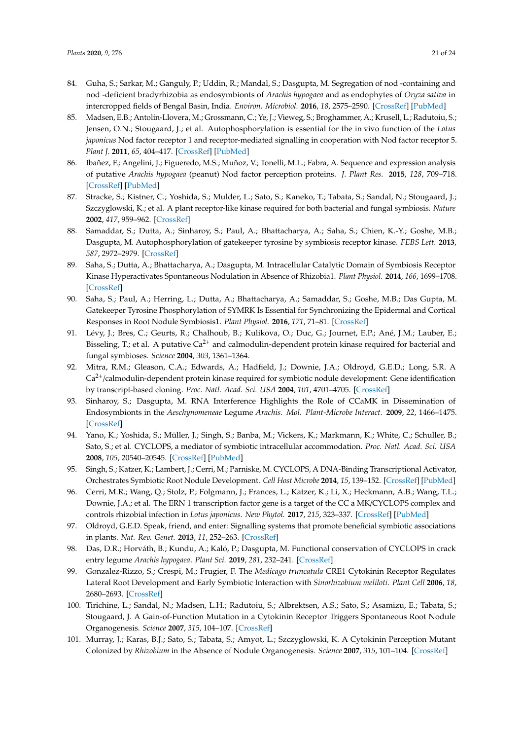- 84. Guha, S.; Sarkar, M.; Ganguly, P.; Uddin, R.; Mandal, S.; Dasgupta, M. Segregation of nod -containing and nod -deficient bradyrhizobia as endosymbionts of *Arachis hypogaea* and as endophytes of *Oryza sativa* in intercropped fields of Bengal Basin, India. *Environ. Microbiol.* **2016**, *18*, 2575–2590. [CrossRef] [PubMed]
- 85. Madsen, E.B.; Antolín-Llovera, M.; Grossmann, C.; Ye, J.; Vieweg, S.; Broghammer, A.; Krusell, L.; Radutoiu, S.; Jensen, O.N.; Stougaard, J.; et al. Autophosphorylation is essential for the in vivo function of the *Lotus japonicus* Nod factor receptor 1 and receptor-mediated signalling in cooperation with Nod factor receptor 5. *Plant J.* **2011**, *65*, 404–417. [CrossRef] [PubMed]
- 86. Ibañez, F.; Angelini, J.; Figueredo, M.S.; Muñoz, V.; Tonelli, M.L.; Fabra, A. Sequence and expression analysis of putative *Arachis hypogaea* (peanut) Nod factor perception proteins. *J. Plant Res.* **2015**, *128*, 709–718. [CrossRef] [PubMed]
- 87. Stracke, S.; Kistner, C.; Yoshida, S.; Mulder, L.; Sato, S.; Kaneko, T.; Tabata, S.; Sandal, N.; Stougaard, J.; Szczyglowski, K.; et al. A plant receptor-like kinase required for both bacterial and fungal symbiosis. *Nature* **2002**, *417*, 959–962. [CrossRef]
- 88. Samaddar, S.; Dutta, A.; Sinharoy, S.; Paul, A.; Bhattacharya, A.; Saha, S.; Chien, K.-Y.; Goshe, M.B.; Dasgupta, M. Autophosphorylation of gatekeeper tyrosine by symbiosis receptor kinase. *FEBS Lett.* **2013**, *587*, 2972–2979. [CrossRef]
- 89. Saha, S.; Dutta, A.; Bhattacharya, A.; Dasgupta, M. Intracellular Catalytic Domain of Symbiosis Receptor Kinase Hyperactivates Spontaneous Nodulation in Absence of Rhizobia1. *Plant Physiol.* **2014**, *166*, 1699–1708. [CrossRef]
- 90. Saha, S.; Paul, A.; Herring, L.; Dutta, A.; Bhattacharya, A.; Samaddar, S.; Goshe, M.B.; Das Gupta, M. Gatekeeper Tyrosine Phosphorylation of SYMRK Is Essential for Synchronizing the Epidermal and Cortical Responses in Root Nodule Symbiosis1. *Plant Physiol.* **2016**, *171*, 71–81. [CrossRef]
- 91. Lévy, J.; Bres, C.; Geurts, R.; Chalhoub, B.; Kulikova, O.; Duc, G.; Journet, E.P.; Ané, J.M.; Lauber, E.; Bisseling, T.; et al. A putative  $Ca^{2+}$  and calmodulin-dependent protein kinase required for bacterial and fungal symbioses. *Science* **2004**, *303*, 1361–1364.
- 92. Mitra, R.M.; Gleason, C.A.; Edwards, A.; Hadfield, J.; Downie, J.A.; Oldroyd, G.E.D.; Long, S.R. A  $Ca<sup>2+</sup>/calmodulin-dependent protein kinase required for symbolic nodule development: Gene identification$ by transcript-based cloning. *Proc. Natl. Acad. Sci. USA* **2004**, *101*, 4701–4705. [CrossRef]
- 93. Sinharoy, S.; Dasgupta, M. RNA Interference Highlights the Role of CCaMK in Dissemination of Endosymbionts in the *Aeschynomeneae* Legume *Arachis*. *Mol. Plant-Microbe Interact.* **2009**, *22*, 1466–1475. [CrossRef]
- 94. Yano, K.; Yoshida, S.; Müller, J.; Singh, S.; Banba, M.; Vickers, K.; Markmann, K.; White, C.; Schuller, B.; Sato, S.; et al. CYCLOPS, a mediator of symbiotic intracellular accommodation. *Proc. Natl. Acad. Sci. USA* **2008**, *105*, 20540–20545. [CrossRef] [PubMed]
- 95. Singh, S.; Katzer, K.; Lambert, J.; Cerri, M.; Parniske, M. CYCLOPS, A DNA-Binding Transcriptional Activator, Orchestrates Symbiotic Root Nodule Development. *Cell Host Microbe* **2014**, *15*, 139–152. [CrossRef] [PubMed]
- 96. Cerri, M.R.; Wang, Q.; Stolz, P.; Folgmann, J.; Frances, L.; Katzer, K.; Li, X.; Heckmann, A.B.; Wang, T.L.; Downie, J.A.; et al. The ERN 1 transcription factor gene is a target of the CC a MK/CYCLOPS complex and controls rhizobial infection in *Lotus japonicus*. *New Phytol.* **2017**, *215*, 323–337. [CrossRef] [PubMed]
- 97. Oldroyd, G.E.D. Speak, friend, and enter: Signalling systems that promote beneficial symbiotic associations in plants. *Nat. Rev. Genet.* **2013**, *11*, 252–263. [CrossRef]
- 98. Das, D.R.; Horváth, B.; Kundu, A.; Kaló, P.; Dasgupta, M. Functional conservation of CYCLOPS in crack entry legume *Arachis hypogaea*. *Plant Sci.* **2019**, *281*, 232–241. [CrossRef]
- 99. Gonzalez-Rizzo, S.; Crespi, M.; Frugier, F. The *Medicago truncatula* CRE1 Cytokinin Receptor Regulates Lateral Root Development and Early Symbiotic Interaction with *Sinorhizobium meliloti*. *Plant Cell* **2006**, *18*, 2680–2693. [CrossRef]
- 100. Tirichine, L.; Sandal, N.; Madsen, L.H.; Radutoiu, S.; Albrektsen, A.S.; Sato, S.; Asamizu, E.; Tabata, S.; Stougaard, J. A Gain-of-Function Mutation in a Cytokinin Receptor Triggers Spontaneous Root Nodule Organogenesis. *Science* **2007**, *315*, 104–107. [CrossRef]
- 101. Murray, J.; Karas, B.J.; Sato, S.; Tabata, S.; Amyot, L.; Szczyglowski, K. A Cytokinin Perception Mutant Colonized by *Rhizobium* in the Absence of Nodule Organogenesis. *Science* **2007**, *315*, 101–104. [CrossRef]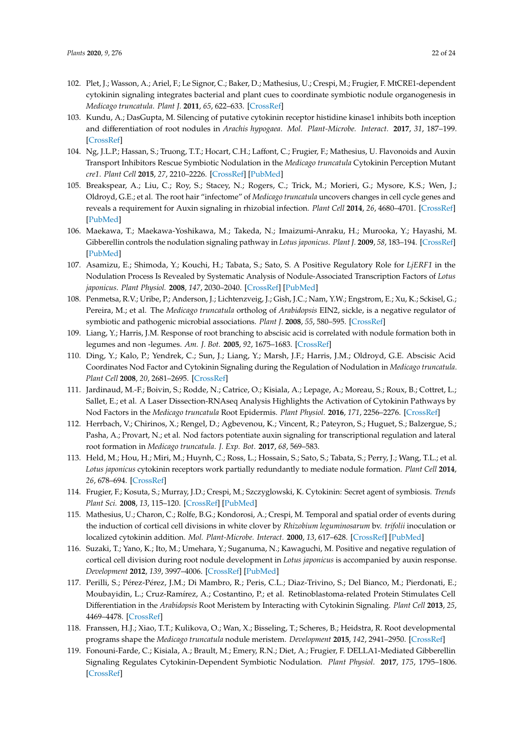- 102. Plet, J.; Wasson, A.; Ariel, F.; Le Signor, C.; Baker, D.; Mathesius, U.; Crespi, M.; Frugier, F. MtCRE1-dependent cytokinin signaling integrates bacterial and plant cues to coordinate symbiotic nodule organogenesis in *Medicago truncatula*. *Plant J.* **2011**, *65*, 622–633. [CrossRef]
- 103. Kundu, A.; DasGupta, M. Silencing of putative cytokinin receptor histidine kinase1 inhibits both inception and differentiation of root nodules in *Arachis hypogaea*. *Mol. Plant-Microbe. Interact.* **2017**, *31*, 187–199. [CrossRef]
- 104. Ng, J.L.P.; Hassan, S.; Truong, T.T.; Hocart, C.H.; Laffont, C.; Frugier, F.; Mathesius, U. Flavonoids and Auxin Transport Inhibitors Rescue Symbiotic Nodulation in the *Medicago truncatula* Cytokinin Perception Mutant *cre1*. *Plant Cell* **2015**, *27*, 2210–2226. [CrossRef] [PubMed]
- 105. Breakspear, A.; Liu, C.; Roy, S.; Stacey, N.; Rogers, C.; Trick, M.; Morieri, G.; Mysore, K.S.; Wen, J.; Oldroyd, G.E.; et al. The root hair "infectome" of *Medicago truncatula* uncovers changes in cell cycle genes and reveals a requirement for Auxin signaling in rhizobial infection. *Plant Cell* **2014**, *26*, 4680–4701. [CrossRef] [PubMed]
- 106. Maekawa, T.; Maekawa-Yoshikawa, M.; Takeda, N.; Imaizumi-Anraku, H.; Murooka, Y.; Hayashi, M. Gibberellin controls the nodulation signaling pathway in *Lotus japonicus*. *Plant J.* **2009**, *58*, 183–194. [CrossRef] [PubMed]
- 107. Asamizu, E.; Shimoda, Y.; Kouchi, H.; Tabata, S.; Sato, S. A Positive Regulatory Role for *LjERF1* in the Nodulation Process Is Revealed by Systematic Analysis of Nodule-Associated Transcription Factors of *Lotus japonicus*. *Plant Physiol.* **2008**, *147*, 2030–2040. [CrossRef] [PubMed]
- 108. Penmetsa, R.V.; Uribe, P.; Anderson, J.; Lichtenzveig, J.; Gish, J.C.; Nam, Y.W.; Engstrom, E.; Xu, K.; Sckisel, G.; Pereira, M.; et al. The *Medicago truncatula* ortholog of *Arabidopsis* EIN2, sickle, is a negative regulator of symbiotic and pathogenic microbial associations. *Plant J.* **2008**, *55*, 580–595. [CrossRef]
- 109. Liang, Y.; Harris, J.M. Response of root branching to abscisic acid is correlated with nodule formation both in legumes and non -legumes. *Am. J. Bot.* **2005**, *92*, 1675–1683. [CrossRef]
- 110. Ding, Y.; Kalo, P.; Yendrek, C.; Sun, J.; Liang, Y.; Marsh, J.F.; Harris, J.M.; Oldroyd, G.E. Abscisic Acid Coordinates Nod Factor and Cytokinin Signaling during the Regulation of Nodulation in *Medicago truncatula*. *Plant Cell* **2008**, *20*, 2681–2695. [CrossRef]
- 111. Jardinaud, M.-F.; Boivin, S.; Rodde, N.; Catrice, O.; Kisiala, A.; Lepage, A.; Moreau, S.; Roux, B.; Cottret, L.; Sallet, E.; et al. A Laser Dissection-RNAseq Analysis Highlights the Activation of Cytokinin Pathways by Nod Factors in the *Medicago truncatula* Root Epidermis. *Plant Physiol.* **2016**, *171*, 2256–2276. [CrossRef]
- 112. Herrbach, V.; Chirinos, X.; Rengel, D.; Agbevenou, K.; Vincent, R.; Pateyron, S.; Huguet, S.; Balzergue, S.; Pasha, A.; Provart, N.; et al. Nod factors potentiate auxin signaling for transcriptional regulation and lateral root formation in *Medicago truncatula*. *J. Exp. Bot.* **2017**, *68*, 569–583.
- 113. Held, M.; Hou, H.; Miri, M.; Huynh, C.; Ross, L.; Hossain, S.; Sato, S.; Tabata, S.; Perry, J.; Wang, T.L.; et al. *Lotus japonicus* cytokinin receptors work partially redundantly to mediate nodule formation. *Plant Cell* **2014**, *26*, 678–694. [CrossRef]
- 114. Frugier, F.; Kosuta, S.; Murray, J.D.; Crespi, M.; Szczyglowski, K. Cytokinin: Secret agent of symbiosis. *Trends Plant Sci.* **2008**, *13*, 115–120. [CrossRef] [PubMed]
- 115. Mathesius, U.; Charon, C.; Rolfe, B.G.; Kondorosi, A.; Crespi, M. Temporal and spatial order of events during the induction of cortical cell divisions in white clover by *Rhizobium leguminosarum* bv. *trifolii* inoculation or localized cytokinin addition. *Mol. Plant-Microbe. Interact.* **2000**, *13*, 617–628. [CrossRef] [PubMed]
- 116. Suzaki, T.; Yano, K.; Ito, M.; Umehara, Y.; Suganuma, N.; Kawaguchi, M. Positive and negative regulation of cortical cell division during root nodule development in *Lotus japonicus* is accompanied by auxin response. *Development* **2012**, *139*, 3997–4006. [CrossRef] [PubMed]
- 117. Perilli, S.; Pérez-Pérez, J.M.; Di Mambro, R.; Peris, C.L.; Diaz-Trivino, S.; Del Bianco, M.; Pierdonati, E.; Moubayidin, L.; Cruz-Ramírez, A.; Costantino, P.; et al. Retinoblastoma-related Protein Stimulates Cell Differentiation in the *Arabidopsis* Root Meristem by Interacting with Cytokinin Signaling. *Plant Cell* **2013**, *25*, 4469–4478. [CrossRef]
- 118. Franssen, H.J.; Xiao, T.T.; Kulikova, O.; Wan, X.; Bisseling, T.; Scheres, B.; Heidstra, R. Root developmental programs shape the *Medicago truncatula* nodule meristem. *Development* **2015**, *142*, 2941–2950. [CrossRef]
- 119. Fonouni-Farde, C.; Kisiala, A.; Brault, M.; Emery, R.N.; Diet, A.; Frugier, F. DELLA1-Mediated Gibberellin Signaling Regulates Cytokinin-Dependent Symbiotic Nodulation. *Plant Physiol.* **2017**, *175*, 1795–1806. [CrossRef]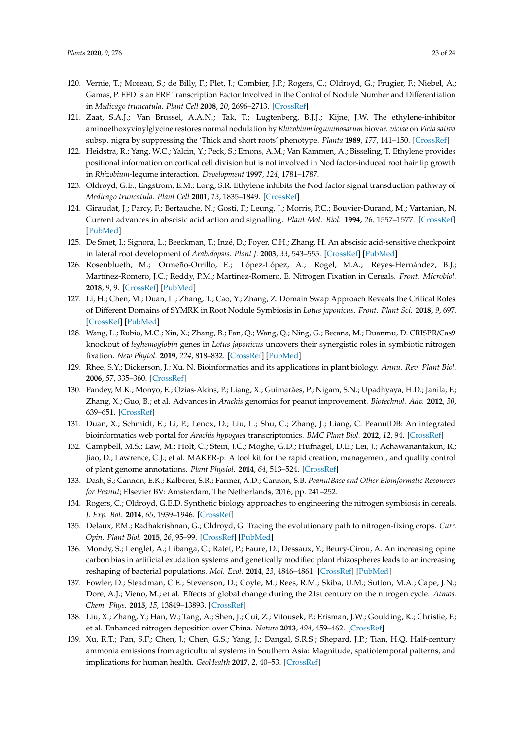- 120. Vernie, T.; Moreau, S.; de Billy, F.; Plet, J.; Combier, J.P.; Rogers, C.; Oldroyd, G.; Frugier, F.; Niebel, A.; Gamas, P. EFD Is an ERF Transcription Factor Involved in the Control of Nodule Number and Differentiation in *Medicago truncatula*. *Plant Cell* **2008**, *20*, 2696–2713. [CrossRef]
- 121. Zaat, S.A.J.; Van Brussel, A.A.N.; Tak, T.; Lugtenberg, B.J.J.; Kijne, J.W. The ethylene-inhibitor aminoethoxyvinylglycine restores normal nodulation by *Rhizobium leguminosarum* biovar. *viciae* on *Vicia sativa* subsp. nigra by suppressing the 'Thick and short roots' phenotype. *Planta* **1989**, *177*, 141–150. [CrossRef]
- 122. Heidstra, R.; Yang, W.C.; Yalcin, Y.; Peck, S.; Emons, A.M.; Van Kammen, A.; Bisseling, T. Ethylene provides positional information on cortical cell division but is not involved in Nod factor-induced root hair tip growth in *Rhizobium*-legume interaction. *Development* **1997**, *124*, 1781–1787.
- 123. Oldroyd, G.E.; Engstrom, E.M.; Long, S.R. Ethylene inhibits the Nod factor signal transduction pathway of *Medicago truncatula*. *Plant Cell* **2001**, *13*, 1835–1849. [CrossRef]
- 124. Giraudat, J.; Parcy, F.; Bertauche, N.; Gosti, F.; Leung, J.; Morris, P.C.; Bouvier-Durand, M.; Vartanian, N. Current advances in abscisic acid action and signalling. *Plant Mol. Biol.* **1994**, *26*, 1557–1577. [CrossRef] [PubMed]
- 125. De Smet, I.; Signora, L.; Beeckman, T.; Inzé, D.; Foyer, C.H.; Zhang, H. An abscisic acid-sensitive checkpoint in lateral root development of *Arabidopsis*. *Plant J.* **2003**, *33*, 543–555. [CrossRef] [PubMed]
- 126. Rosenblueth, M.; Ormeño-Orrillo, E.; López-López, A.; Rogel, M.A.; Reyes-Hernández, B.J.; Martínez-Romero, J.C.; Reddy, P.M.; Martínez-Romero, E. Nitrogen Fixation in Cereals. *Front. Microbiol.* **2018**, *9*, 9. [CrossRef] [PubMed]
- 127. Li, H.; Chen, M.; Duan, L.; Zhang, T.; Cao, Y.; Zhang, Z. Domain Swap Approach Reveals the Critical Roles of Different Domains of SYMRK in Root Nodule Symbiosis in *Lotus japonicus*. *Front. Plant Sci.* **2018**, *9*, 697. [CrossRef] [PubMed]
- 128. Wang, L.; Rubio, M.C.; Xin, X.; Zhang, B.; Fan, Q.; Wang, Q.; Ning, G.; Becana, M.; Duanmu, D. CRISPR/Cas9 knockout of *leghemoglobin* genes in *Lotus japonicus* uncovers their synergistic roles in symbiotic nitrogen fixation. *New Phytol.* **2019**, *224*, 818–832. [CrossRef] [PubMed]
- 129. Rhee, S.Y.; Dickerson, J.; Xu, N. Bioinformatics and its applications in plant biology. *Annu. Rev. Plant Biol.* **2006**, *57*, 335–360. [CrossRef]
- 130. Pandey, M.K.; Monyo, E.; Ozias-Akins, P.; Liang, X.; Guimarães, P.; Nigam, S.N.; Upadhyaya, H.D.; Janila, P.; Zhang, X.; Guo, B.; et al. Advances in *Arachis* genomics for peanut improvement. *Biotechnol. Adv.* **2012**, *30*, 639–651. [CrossRef]
- 131. Duan, X.; Schmidt, E.; Li, P.; Lenox, D.; Liu, L.; Shu, C.; Zhang, J.; Liang, C. PeanutDB: An integrated bioinformatics web portal for *Arachis hypogaea* transcriptomics. *BMC Plant Biol.* **2012**, *12*, 94. [CrossRef]
- 132. Campbell, M.S.; Law, M.; Holt, C.; Stein, J.C.; Moghe, G.D.; Hufnagel, D.E.; Lei, J.; Achawanantakun, R.; Jiao, D.; Lawrence, C.J.; et al. MAKER-p: A tool kit for the rapid creation, management, and quality control of plant genome annotations. *Plant Physiol.* **2014**, *64*, 513–524. [CrossRef]
- 133. Dash, S.; Cannon, E.K.; Kalberer, S.R.; Farmer, A.D.; Cannon, S.B. *PeanutBase and Other Bioinformatic Resources for Peanut*; Elsevier BV: Amsterdam, The Netherlands, 2016; pp. 241–252.
- 134. Rogers, C.; Oldroyd, G.E.D. Synthetic biology approaches to engineering the nitrogen symbiosis in cereals. *J. Exp. Bot.* **2014**, *65*, 1939–1946. [CrossRef]
- 135. Delaux, P.M.; Radhakrishnan, G.; Oldroyd, G. Tracing the evolutionary path to nitrogen-fixing crops. *Curr. Opin. Plant Biol.* **2015**, *26*, 95–99. [CrossRef] [PubMed]
- 136. Mondy, S.; Lenglet, A.; Libanga, C.; Ratet, P.; Faure, D.; Dessaux, Y.; Beury-Cirou, A. An increasing opine carbon bias in artificial exudation systems and genetically modified plant rhizospheres leads to an increasing reshaping of bacterial populations. *Mol. Ecol.* **2014**, *23*, 4846–4861. [CrossRef] [PubMed]
- 137. Fowler, D.; Steadman, C.E.; Stevenson, D.; Coyle, M.; Rees, R.M.; Skiba, U.M.; Sutton, M.A.; Cape, J.N.; Dore, A.J.; Vieno, M.; et al. Effects of global change during the 21st century on the nitrogen cycle. *Atmos. Chem. Phys.* **2015**, *15*, 13849–13893. [CrossRef]
- 138. Liu, X.; Zhang, Y.; Han, W.; Tang, A.; Shen, J.; Cui, Z.; Vitousek, P.; Erisman, J.W.; Goulding, K.; Christie, P.; et al. Enhanced nitrogen deposition over China. *Nature* **2013**, *494*, 459–462. [CrossRef]
- 139. Xu, R.T.; Pan, S.F.; Chen, J.; Chen, G.S.; Yang, J.; Dangal, S.R.S.; Shepard, J.P.; Tian, H.Q. Half-century ammonia emissions from agricultural systems in Southern Asia: Magnitude, spatiotemporal patterns, and implications for human health. *GeoHealth* **2017**, *2*, 40–53. [CrossRef]